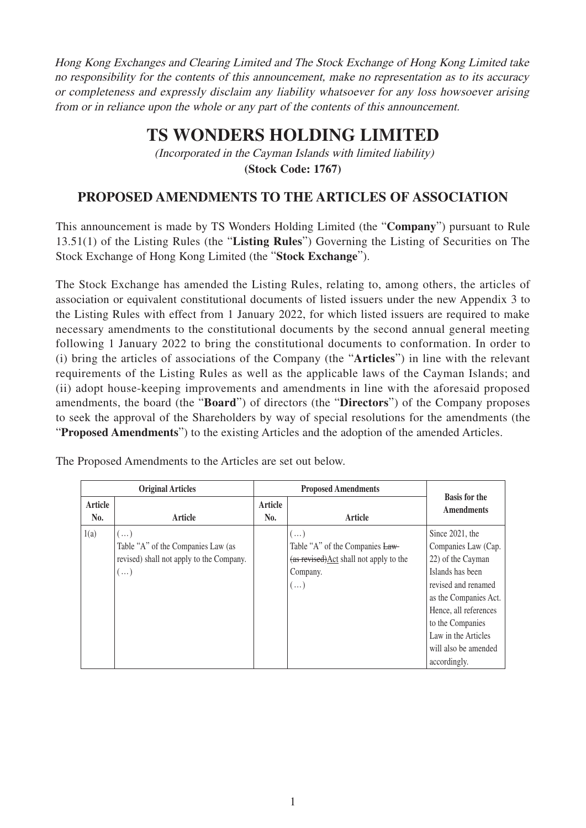Hong Kong Exchanges and Clearing Limited and The Stock Exchange of Hong Kong Limited take no responsibility for the contents of this announcement, make no representation as to its accuracy or completeness and expressly disclaim any liability whatsoever for any loss howsoever arising from or in reliance upon the whole or any part of the contents of this announcement.

## **TS WONDERS HOLDING LIMITED**

(Incorporated in the Cayman Islands with limited liability) **(Stock Code: 1767)**

## **PROPOSED AMENDMENTS TO THE ARTICLES OF ASSOCIATION**

This announcement is made by TS Wonders Holding Limited (the "**Company**") pursuant to Rule 13.51(1) of the Listing Rules (the "**Listing Rules**") Governing the Listing of Securities on The Stock Exchange of Hong Kong Limited (the "**Stock Exchange**").

The Stock Exchange has amended the Listing Rules, relating to, among others, the articles of association or equivalent constitutional documents of listed issuers under the new Appendix 3 to the Listing Rules with effect from 1 January 2022, for which listed issuers are required to make necessary amendments to the constitutional documents by the second annual general meeting following 1 January 2022 to bring the constitutional documents to conformation. In order to (i) bring the articles of associations of the Company (the "**Articles**") in line with the relevant requirements of the Listing Rules as well as the applicable laws of the Cayman Islands; and (ii) adopt house-keeping improvements and amendments in line with the aforesaid proposed amendments, the board (the "**Board**") of directors (the "**Directors**") of the Company proposes to seek the approval of the Shareholders by way of special resolutions for the amendments (the "**Proposed Amendments**") to the existing Articles and the adoption of the amended Articles.

|                | <b>Original Articles</b>                                                                                   | <b>Proposed Amendments</b> |                                                                                                                    |                                                                                                                                                                                                                                             |
|----------------|------------------------------------------------------------------------------------------------------------|----------------------------|--------------------------------------------------------------------------------------------------------------------|---------------------------------------------------------------------------------------------------------------------------------------------------------------------------------------------------------------------------------------------|
| Article<br>No. | Article                                                                                                    | Article<br>No.             | Article                                                                                                            | <b>Basis for the</b><br><b>Amendments</b>                                                                                                                                                                                                   |
| 1(a)           | $(\ldots)$<br>Table "A" of the Companies Law (as<br>revised) shall not apply to the Company.<br>$(\ldots)$ |                            | $(\ldots)$<br>Table "A" of the Companies Law-<br>(as revised) Act shall not apply to the<br>Company.<br>$(\ldots)$ | Since 2021, the<br>Companies Law (Cap.<br>22) of the Cayman<br>Islands has been<br>revised and renamed<br>as the Companies Act.<br>Hence, all references<br>to the Companies<br>Law in the Articles<br>will also be amended<br>accordingly. |

The Proposed Amendments to the Articles are set out below.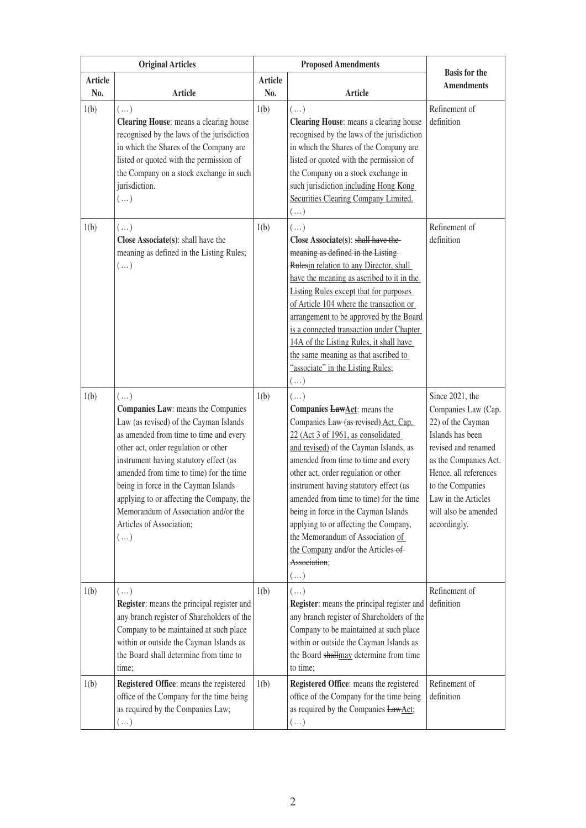|                | <b>Original Articles</b>                                                                                                                                                                                                                                                                                                                                                                                                                 | <b>Proposed Amendments</b> |                                                                                                                                                                                                                                                                                                                                                                                                                                                                                                                                        | <b>Basis for the</b>                                                                                                                                                                                                                        |
|----------------|------------------------------------------------------------------------------------------------------------------------------------------------------------------------------------------------------------------------------------------------------------------------------------------------------------------------------------------------------------------------------------------------------------------------------------------|----------------------------|----------------------------------------------------------------------------------------------------------------------------------------------------------------------------------------------------------------------------------------------------------------------------------------------------------------------------------------------------------------------------------------------------------------------------------------------------------------------------------------------------------------------------------------|---------------------------------------------------------------------------------------------------------------------------------------------------------------------------------------------------------------------------------------------|
| Article<br>No. | <b>Article</b>                                                                                                                                                                                                                                                                                                                                                                                                                           | Article<br>No.             | <b>Article</b>                                                                                                                                                                                                                                                                                                                                                                                                                                                                                                                         | <b>Amendments</b>                                                                                                                                                                                                                           |
| 1(b)           | $(\ldots)$<br>Clearing House: means a clearing house<br>recognised by the laws of the jurisdiction<br>in which the Shares of the Company are<br>listed or quoted with the permission of<br>the Company on a stock exchange in such<br>jurisdiction.<br>$(\dots)$                                                                                                                                                                         | 1(b)                       | $(\ldots)$<br>Clearing House: means a clearing house<br>recognised by the laws of the jurisdiction<br>in which the Shares of the Company are<br>listed or quoted with the permission of<br>the Company on a stock exchange in<br>such jurisdiction including Hong Kong<br>Securities Clearing Company Limited.<br>$(\ldots)$                                                                                                                                                                                                           | Refinement of<br>definition                                                                                                                                                                                                                 |
| 1(b)           | $(\ldots)$<br>Close Associate(s): shall have the<br>meaning as defined in the Listing Rules;<br>$(\ldots)$                                                                                                                                                                                                                                                                                                                               | 1(b)                       | $(\ldots)$<br>Close Associate(s): shall have the<br>meaning as defined in the Listing-<br>Rulesin relation to any Director, shall<br>have the meaning as ascribed to it in the<br><b>Listing Rules except that for purposes</b><br>of Article 104 where the transaction or<br>arrangement to be approved by the Board<br>is a connected transaction under Chapter<br>14A of the Listing Rules, it shall have<br>the same meaning as that ascribed to<br>"associate" in the Listing Rules;<br>$(\ldots)$                                | Refinement of<br>definition                                                                                                                                                                                                                 |
| 1(b)           | $(\ldots)$<br>Companies Law: means the Companies<br>Law (as revised) of the Cayman Islands<br>as amended from time to time and every<br>other act, order regulation or other<br>instrument having statutory effect (as<br>amended from time to time) for the time<br>being in force in the Cayman Islands<br>applying to or affecting the Company, the<br>Memorandum of Association and/or the<br>Articles of Association;<br>$(\ldots)$ | 1(b)                       | $(\ldots)$<br>Companies <b>LawAct</b> : means the<br>Companies Law (as revised) Act, Cap.<br>22 (Act 3 of 1961, as consolidated<br>and revised) of the Cayman Islands, as<br>amended from time to time and every<br>other act, order regulation or other<br>instrument having statutory effect (as<br>amended from time to time) for the time<br>being in force in the Cayman Islands<br>applying to or affecting the Company,<br>the Memorandum of Association of<br>the Company and/or the Articles-of-<br>Association;<br>$(\dots)$ | Since 2021, the<br>Companies Law (Cap.<br>22) of the Cayman<br>Islands has been<br>revised and renamed<br>as the Companies Act.<br>Hence, all references<br>to the Companies<br>Law in the Articles<br>will also be amended<br>accordingly. |
| 1(b)           | $(\ldots)$<br>Register: means the principal register and<br>any branch register of Shareholders of the<br>Company to be maintained at such place<br>within or outside the Cayman Islands as<br>the Board shall determine from time to<br>time;                                                                                                                                                                                           | 1(b)                       | $(\dots)$<br>Register: means the principal register and<br>any branch register of Shareholders of the<br>Company to be maintained at such place<br>within or outside the Cayman Islands as<br>the Board shallmay determine from time<br>to time;                                                                                                                                                                                                                                                                                       | Refinement of<br>definition                                                                                                                                                                                                                 |
| 1(b)           | Registered Office: means the registered<br>office of the Company for the time being<br>as required by the Companies Law;<br>$(\ldots)$                                                                                                                                                                                                                                                                                                   | 1(b)                       | Registered Office: means the registered<br>office of the Company for the time being<br>as required by the Companies LawAct;<br>$(\dots)$                                                                                                                                                                                                                                                                                                                                                                                               | Refinement of<br>definition                                                                                                                                                                                                                 |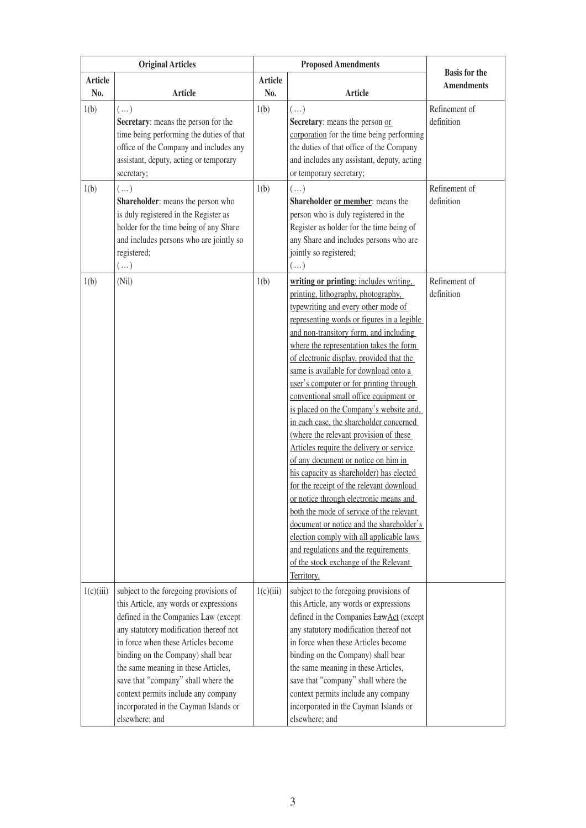|                       | <b>Original Articles</b>                                                                                                                                                                                                                                                                                                                                                                                                        | <b>Proposed Amendments</b> |                                                                                                                                                                                                                                                                                                                                                                                                                                                                                                                                                                                                                                                                                                                                                                                                                                                                                                                                                                                                                           | <b>Basis for the</b>        |
|-----------------------|---------------------------------------------------------------------------------------------------------------------------------------------------------------------------------------------------------------------------------------------------------------------------------------------------------------------------------------------------------------------------------------------------------------------------------|----------------------------|---------------------------------------------------------------------------------------------------------------------------------------------------------------------------------------------------------------------------------------------------------------------------------------------------------------------------------------------------------------------------------------------------------------------------------------------------------------------------------------------------------------------------------------------------------------------------------------------------------------------------------------------------------------------------------------------------------------------------------------------------------------------------------------------------------------------------------------------------------------------------------------------------------------------------------------------------------------------------------------------------------------------------|-----------------------------|
| <b>Article</b><br>No. | <b>Article</b>                                                                                                                                                                                                                                                                                                                                                                                                                  | <b>Article</b><br>No.      | <b>Article</b>                                                                                                                                                                                                                                                                                                                                                                                                                                                                                                                                                                                                                                                                                                                                                                                                                                                                                                                                                                                                            | <b>Amendments</b>           |
| 1(b)                  | $(\ldots)$<br>Secretary: means the person for the<br>time being performing the duties of that<br>office of the Company and includes any<br>assistant, deputy, acting or temporary<br>secretary;                                                                                                                                                                                                                                 | 1(b)                       | $(\ldots)$<br>Secretary: means the person or<br>corporation for the time being performing<br>the duties of that office of the Company<br>and includes any assistant, deputy, acting<br>or temporary secretary;                                                                                                                                                                                                                                                                                                                                                                                                                                                                                                                                                                                                                                                                                                                                                                                                            | Refinement of<br>definition |
| 1(b)                  | $(\ldots)$<br>Shareholder: means the person who<br>is duly registered in the Register as<br>holder for the time being of any Share<br>and includes persons who are jointly so<br>registered;<br>$(\dots)$                                                                                                                                                                                                                       | 1(b)                       | $(\ldots)$<br>Shareholder or member: means the<br>person who is duly registered in the<br>Register as holder for the time being of<br>any Share and includes persons who are<br>jointly so registered;<br>$(\dots)$                                                                                                                                                                                                                                                                                                                                                                                                                                                                                                                                                                                                                                                                                                                                                                                                       | Refinement of<br>definition |
| 1(b)                  | (Nil)                                                                                                                                                                                                                                                                                                                                                                                                                           | 1(b)                       | writing or printing: includes writing,<br>printing, lithography, photography,<br>typewriting and every other mode of<br>representing words or figures in a legible<br>and non-transitory form, and including<br>where the representation takes the form<br>of electronic display, provided that the<br>same is available for download onto a<br>user's computer or for printing through<br>conventional small office equipment or<br>is placed on the Company's website and,<br>in each case, the shareholder concerned<br>(where the relevant provision of these<br>Articles require the delivery or service<br>of any document or notice on him in<br>his capacity as shareholder) has elected<br>for the receipt of the relevant download<br>or notice through electronic means and<br>both the mode of service of the relevant<br>document or notice and the shareholder's<br>election comply with all applicable laws<br>and regulations and the requirements<br>of the stock exchange of the Relevant<br>Territory. | Refinement of<br>definition |
| 1(c)(iii)             | subject to the foregoing provisions of<br>this Article, any words or expressions<br>defined in the Companies Law (except<br>any statutory modification thereof not<br>in force when these Articles become<br>binding on the Company) shall bear<br>the same meaning in these Articles,<br>save that "company" shall where the<br>context permits include any company<br>incorporated in the Cayman Islands or<br>elsewhere; and | 1(c)(iii)                  | subject to the foregoing provisions of<br>this Article, any words or expressions<br>defined in the Companies LawAct (except<br>any statutory modification thereof not<br>in force when these Articles become<br>binding on the Company) shall bear<br>the same meaning in these Articles,<br>save that "company" shall where the<br>context permits include any company<br>incorporated in the Cayman Islands or<br>elsewhere; and                                                                                                                                                                                                                                                                                                                                                                                                                                                                                                                                                                                        |                             |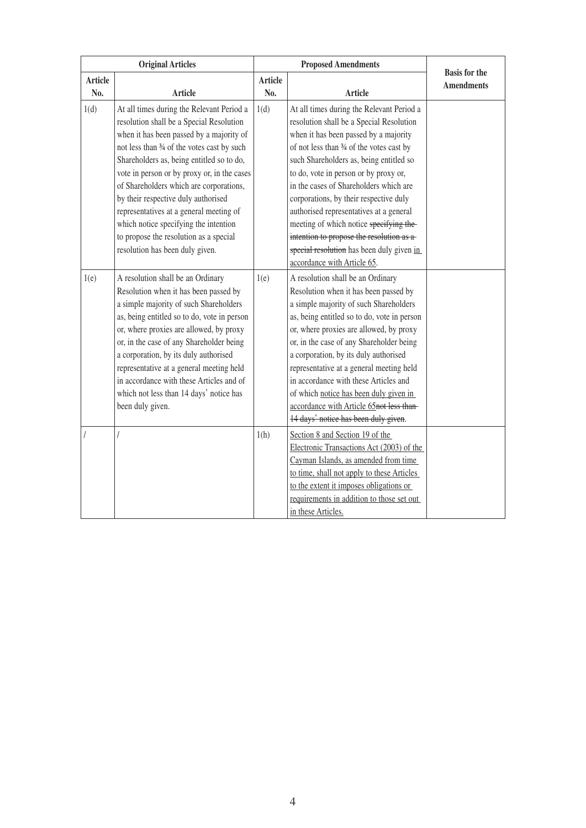| <b>Original Articles</b> |                                             |                | <b>Proposed Amendments</b>                  |                                           |
|--------------------------|---------------------------------------------|----------------|---------------------------------------------|-------------------------------------------|
| <b>Article</b>           |                                             | <b>Article</b> |                                             | <b>Basis for the</b><br><b>Amendments</b> |
| No.                      | Article                                     | No.            | Article                                     |                                           |
| 1(d)                     | At all times during the Relevant Period a   | 1(d)           | At all times during the Relevant Period a   |                                           |
|                          | resolution shall be a Special Resolution    |                | resolution shall be a Special Resolution    |                                           |
|                          | when it has been passed by a majority of    |                | when it has been passed by a majority       |                                           |
|                          | not less than 3⁄4 of the votes cast by such |                | of not less than 34 of the votes cast by    |                                           |
|                          | Shareholders as, being entitled so to do,   |                | such Shareholders as, being entitled so     |                                           |
|                          | vote in person or by proxy or, in the cases |                | to do, vote in person or by proxy or,       |                                           |
|                          | of Shareholders which are corporations,     |                | in the cases of Shareholders which are      |                                           |
|                          | by their respective duly authorised         |                | corporations, by their respective duly      |                                           |
|                          | representatives at a general meeting of     |                | authorised representatives at a general     |                                           |
|                          | which notice specifying the intention       |                | meeting of which notice specifying the-     |                                           |
|                          | to propose the resolution as a special      |                | intention to propose the resolution as a    |                                           |
|                          | resolution has been duly given.             |                | special resolution has been duly given in   |                                           |
|                          |                                             |                | accordance with Article 65.                 |                                           |
| 1(e)                     | A resolution shall be an Ordinary           | 1(e)           | A resolution shall be an Ordinary           |                                           |
|                          | Resolution when it has been passed by       |                | Resolution when it has been passed by       |                                           |
|                          | a simple majority of such Shareholders      |                | a simple majority of such Shareholders      |                                           |
|                          | as, being entitled so to do, vote in person |                | as, being entitled so to do, vote in person |                                           |
|                          | or, where proxies are allowed, by proxy     |                | or, where proxies are allowed, by proxy     |                                           |
|                          | or, in the case of any Shareholder being    |                | or, in the case of any Shareholder being    |                                           |
|                          | a corporation, by its duly authorised       |                | a corporation, by its duly authorised       |                                           |
|                          | representative at a general meeting held    |                | representative at a general meeting held    |                                           |
|                          | in accordance with these Articles and of    |                | in accordance with these Articles and       |                                           |
|                          | which not less than 14 days' notice has     |                | of which notice has been duly given in      |                                           |
|                          | been duly given.                            |                | accordance with Article 65not less than-    |                                           |
|                          |                                             |                | 14 days' notice has been duly given.        |                                           |
|                          | I                                           | 1(h)           | Section 8 and Section 19 of the             |                                           |
|                          |                                             |                | Electronic Transactions Act (2003) of the   |                                           |
|                          |                                             |                | Cayman Islands, as amended from time        |                                           |
|                          |                                             |                | to time, shall not apply to these Articles  |                                           |
|                          |                                             |                | to the extent it imposes obligations or     |                                           |
|                          |                                             |                | requirements in addition to those set out   |                                           |
|                          |                                             |                | in these Articles.                          |                                           |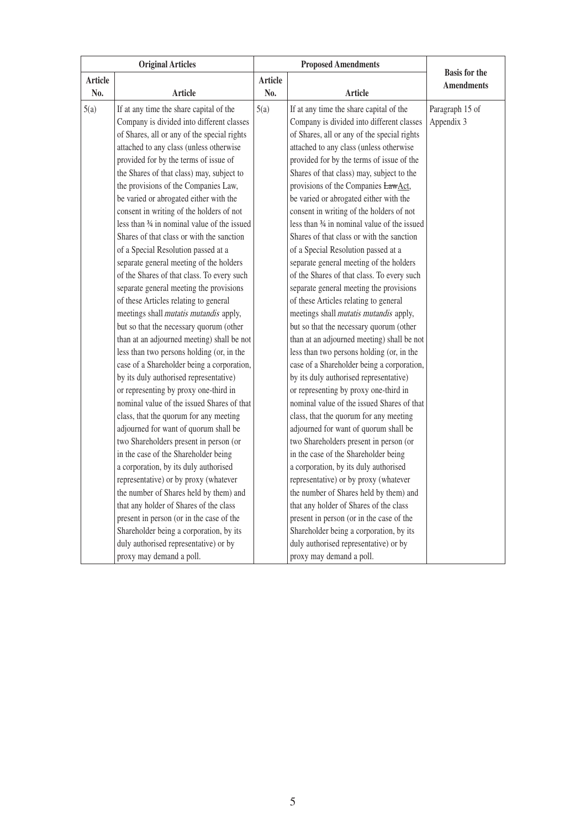| <b>Original Articles</b> |                                               | <b>Proposed Amendments</b> |                                               |                      |
|--------------------------|-----------------------------------------------|----------------------------|-----------------------------------------------|----------------------|
| <b>Article</b>           |                                               | <b>Article</b>             |                                               | <b>Basis</b> for the |
| No.                      | <b>Article</b>                                | No.                        | <b>Article</b>                                | <b>Amendments</b>    |
| 5(a)                     | If at any time the share capital of the       | 5(a)                       | If at any time the share capital of the       | Paragraph 15 of      |
|                          | Company is divided into different classes     |                            | Company is divided into different classes     | Appendix 3           |
|                          | of Shares, all or any of the special rights   |                            | of Shares, all or any of the special rights   |                      |
|                          | attached to any class (unless otherwise       |                            | attached to any class (unless otherwise       |                      |
|                          | provided for by the terms of issue of         |                            | provided for by the terms of issue of the     |                      |
|                          | the Shares of that class) may, subject to     |                            | Shares of that class) may, subject to the     |                      |
|                          | the provisions of the Companies Law,          |                            | provisions of the Companies LawAct,           |                      |
|                          | be varied or abrogated either with the        |                            | be varied or abrogated either with the        |                      |
|                          | consent in writing of the holders of not      |                            | consent in writing of the holders of not      |                      |
|                          | less than 34 in nominal value of the issued   |                            | less than 34 in nominal value of the issued   |                      |
|                          | Shares of that class or with the sanction     |                            | Shares of that class or with the sanction     |                      |
|                          | of a Special Resolution passed at a           |                            | of a Special Resolution passed at a           |                      |
|                          | separate general meeting of the holders       |                            | separate general meeting of the holders       |                      |
|                          | of the Shares of that class. To every such    |                            | of the Shares of that class. To every such    |                      |
|                          | separate general meeting the provisions       |                            | separate general meeting the provisions       |                      |
|                          | of these Articles relating to general         |                            | of these Articles relating to general         |                      |
|                          | meetings shall <i>mutatis mutandis</i> apply, |                            | meetings shall <i>mutatis mutandis</i> apply, |                      |
|                          | but so that the necessary quorum (other       |                            | but so that the necessary quorum (other       |                      |
|                          | than at an adjourned meeting) shall be not    |                            | than at an adjourned meeting) shall be not    |                      |
|                          | less than two persons holding (or, in the     |                            | less than two persons holding (or, in the     |                      |
|                          | case of a Shareholder being a corporation,    |                            | case of a Shareholder being a corporation,    |                      |
|                          | by its duly authorised representative)        |                            | by its duly authorised representative)        |                      |
|                          | or representing by proxy one-third in         |                            | or representing by proxy one-third in         |                      |
|                          | nominal value of the issued Shares of that    |                            | nominal value of the issued Shares of that    |                      |
|                          | class, that the quorum for any meeting        |                            | class, that the quorum for any meeting        |                      |
|                          | adjourned for want of quorum shall be         |                            | adjourned for want of quorum shall be         |                      |
|                          | two Shareholders present in person (or        |                            | two Shareholders present in person (or        |                      |
|                          | in the case of the Shareholder being          |                            | in the case of the Shareholder being          |                      |
|                          | a corporation, by its duly authorised         |                            | a corporation, by its duly authorised         |                      |
|                          | representative) or by proxy (whatever         |                            | representative) or by proxy (whatever         |                      |
|                          | the number of Shares held by them) and        |                            | the number of Shares held by them) and        |                      |
|                          | that any holder of Shares of the class        |                            | that any holder of Shares of the class        |                      |
|                          | present in person (or in the case of the      |                            | present in person (or in the case of the      |                      |
|                          | Shareholder being a corporation, by its       |                            | Shareholder being a corporation, by its       |                      |
|                          | duly authorised representative) or by         |                            | duly authorised representative) or by         |                      |
|                          | proxy may demand a poll.                      |                            | proxy may demand a poll.                      |                      |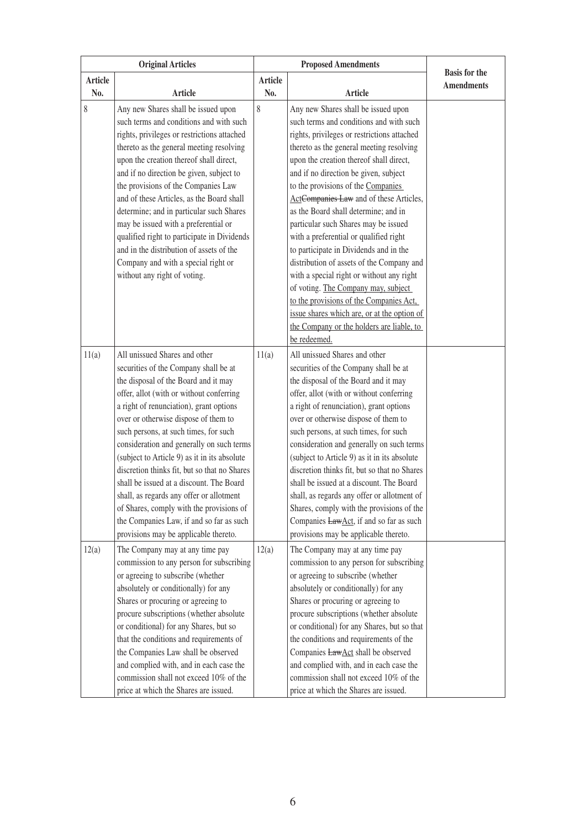|         | <b>Original Articles</b>                     |                | <b>Proposed Amendments</b>                   |                                           |
|---------|----------------------------------------------|----------------|----------------------------------------------|-------------------------------------------|
| Article |                                              | <b>Article</b> |                                              | <b>Basis</b> for the<br><b>Amendments</b> |
| No.     | <b>Article</b>                               | No.            | <b>Article</b>                               |                                           |
| 8       | Any new Shares shall be issued upon          | 8              | Any new Shares shall be issued upon          |                                           |
|         | such terms and conditions and with such      |                | such terms and conditions and with such      |                                           |
|         | rights, privileges or restrictions attached  |                | rights, privileges or restrictions attached  |                                           |
|         | thereto as the general meeting resolving     |                | thereto as the general meeting resolving     |                                           |
|         | upon the creation thereof shall direct,      |                | upon the creation thereof shall direct,      |                                           |
|         | and if no direction be given, subject to     |                | and if no direction be given, subject        |                                           |
|         | the provisions of the Companies Law          |                | to the provisions of the Companies           |                                           |
|         | and of these Articles, as the Board shall    |                | ActCompanies Law and of these Articles,      |                                           |
|         | determine; and in particular such Shares     |                | as the Board shall determine; and in         |                                           |
|         | may be issued with a preferential or         |                | particular such Shares may be issued         |                                           |
|         | qualified right to participate in Dividends  |                | with a preferential or qualified right       |                                           |
|         | and in the distribution of assets of the     |                | to participate in Dividends and in the       |                                           |
|         | Company and with a special right or          |                | distribution of assets of the Company and    |                                           |
|         | without any right of voting.                 |                | with a special right or without any right    |                                           |
|         |                                              |                | of voting. The Company may, subject          |                                           |
|         |                                              |                | to the provisions of the Companies Act.      |                                           |
|         |                                              |                | issue shares which are, or at the option of  |                                           |
|         |                                              |                | the Company or the holders are liable, to    |                                           |
|         |                                              |                | be redeemed.                                 |                                           |
| 11(a)   | All unissued Shares and other                | 11(a)          | All unissued Shares and other                |                                           |
|         | securities of the Company shall be at        |                | securities of the Company shall be at        |                                           |
|         | the disposal of the Board and it may         |                | the disposal of the Board and it may         |                                           |
|         | offer, allot (with or without conferring     |                | offer, allot (with or without conferring     |                                           |
|         | a right of renunciation), grant options      |                | a right of renunciation), grant options      |                                           |
|         | over or otherwise dispose of them to         |                | over or otherwise dispose of them to         |                                           |
|         | such persons, at such times, for such        |                | such persons, at such times, for such        |                                           |
|         | consideration and generally on such terms    |                | consideration and generally on such terms    |                                           |
|         | (subject to Article 9) as it in its absolute |                | (subject to Article 9) as it in its absolute |                                           |
|         | discretion thinks fit, but so that no Shares |                | discretion thinks fit, but so that no Shares |                                           |
|         | shall be issued at a discount. The Board     |                | shall be issued at a discount. The Board     |                                           |
|         | shall, as regards any offer or allotment     |                | shall, as regards any offer or allotment of  |                                           |
|         | of Shares, comply with the provisions of     |                | Shares, comply with the provisions of the    |                                           |
|         | the Companies Law, if and so far as such     |                | Companies LawAct, if and so far as such      |                                           |
|         | provisions may be applicable thereto.        |                | provisions may be applicable thereto.        |                                           |
| 12(a)   | The Company may at any time pay              | 12(a)          | The Company may at any time pay              |                                           |
|         | commission to any person for subscribing     |                | commission to any person for subscribing     |                                           |
|         | or agreeing to subscribe (whether            |                | or agreeing to subscribe (whether            |                                           |
|         | absolutely or conditionally) for any         |                | absolutely or conditionally) for any         |                                           |
|         | Shares or procuring or agreeing to           |                | Shares or procuring or agreeing to           |                                           |
|         | procure subscriptions (whether absolute      |                | procure subscriptions (whether absolute      |                                           |
|         | or conditional) for any Shares, but so       |                | or conditional) for any Shares, but so that  |                                           |
|         | that the conditions and requirements of      |                | the conditions and requirements of the       |                                           |
|         | the Companies Law shall be observed          |                | Companies LawAct shall be observed           |                                           |
|         | and complied with, and in each case the      |                | and complied with, and in each case the      |                                           |
|         | commission shall not exceed 10% of the       |                | commission shall not exceed 10% of the       |                                           |
|         | price at which the Shares are issued.        |                | price at which the Shares are issued.        |                                           |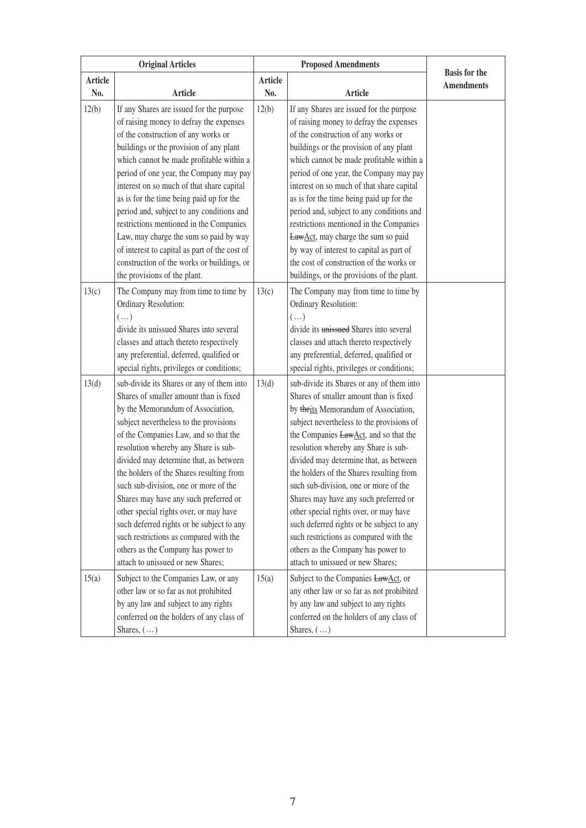|                | <b>Original Articles</b>                                                                                                                                                                                                                                                                                                                                                                                                                                                                                                                                                                                                                | <b>Proposed Amendments</b> |                                                                                                                                                                                                                                                                                                                                                                                                                                                                                                                                                                                                                                               |                                           |
|----------------|-----------------------------------------------------------------------------------------------------------------------------------------------------------------------------------------------------------------------------------------------------------------------------------------------------------------------------------------------------------------------------------------------------------------------------------------------------------------------------------------------------------------------------------------------------------------------------------------------------------------------------------------|----------------------------|-----------------------------------------------------------------------------------------------------------------------------------------------------------------------------------------------------------------------------------------------------------------------------------------------------------------------------------------------------------------------------------------------------------------------------------------------------------------------------------------------------------------------------------------------------------------------------------------------------------------------------------------------|-------------------------------------------|
| Article<br>No. | <b>Article</b>                                                                                                                                                                                                                                                                                                                                                                                                                                                                                                                                                                                                                          | <b>Article</b><br>No.      | <b>Article</b>                                                                                                                                                                                                                                                                                                                                                                                                                                                                                                                                                                                                                                | <b>Basis</b> for the<br><b>Amendments</b> |
| 12(b)          | If any Shares are issued for the purpose<br>of raising money to defray the expenses<br>of the construction of any works or<br>buildings or the provision of any plant<br>which cannot be made profitable within a<br>period of one year, the Company may pay<br>interest on so much of that share capital<br>as is for the time being paid up for the<br>period and, subject to any conditions and<br>restrictions mentioned in the Companies<br>Law, may charge the sum so paid by way<br>of interest to capital as part of the cost of<br>construction of the works or buildings, or<br>the provisions of the plant.                  | 12(b)                      | If any Shares are issued for the purpose<br>of raising money to defray the expenses<br>of the construction of any works or<br>buildings or the provision of any plant<br>which cannot be made profitable within a<br>period of one year, the Company may pay<br>interest on so much of that share capital<br>as is for the time being paid up for the<br>period and, subject to any conditions and<br>restrictions mentioned in the Companies<br>LawAct, may charge the sum so paid<br>by way of interest to capital as part of<br>the cost of construction of the works or<br>buildings, or the provisions of the plant.                     |                                           |
| 13(c)          | The Company may from time to time by<br>Ordinary Resolution:<br>$(\ldots)$<br>divide its unissued Shares into several<br>classes and attach thereto respectively<br>any preferential, deferred, qualified or<br>special rights, privileges or conditions;                                                                                                                                                                                                                                                                                                                                                                               | 13(c)                      | The Company may from time to time by<br>Ordinary Resolution:<br>$(\ldots)$<br>divide its unissued Shares into several<br>classes and attach thereto respectively<br>any preferential, deferred, qualified or<br>special rights, privileges or conditions;                                                                                                                                                                                                                                                                                                                                                                                     |                                           |
| 13(d)          | sub-divide its Shares or any of them into<br>Shares of smaller amount than is fixed<br>by the Memorandum of Association,<br>subject nevertheless to the provisions<br>of the Companies Law, and so that the<br>resolution whereby any Share is sub-<br>divided may determine that, as between<br>the holders of the Shares resulting from<br>such sub-division, one or more of the<br>Shares may have any such preferred or<br>other special rights over, or may have<br>such deferred rights or be subject to any<br>such restrictions as compared with the<br>others as the Company has power to<br>attach to unissued or new Shares; | 13(d)                      | sub-divide its Shares or any of them into<br>Shares of smaller amount than is fixed<br>by theits Memorandum of Association,<br>subject nevertheless to the provisions of<br>the Companies LawAct, and so that the<br>resolution whereby any Share is sub-<br>divided may determine that, as between<br>the holders of the Shares resulting from<br>such sub-division, one or more of the<br>Shares may have any such preferred or<br>other special rights over, or may have<br>such deferred rights or be subject to any<br>such restrictions as compared with the<br>others as the Company has power to<br>attach to unissued or new Shares; |                                           |
| 15(a)          | Subject to the Companies Law, or any<br>other law or so far as not prohibited<br>by any law and subject to any rights<br>conferred on the holders of any class of<br>Shares, $(\ldots)$                                                                                                                                                                                                                                                                                                                                                                                                                                                 | 15(a)                      | Subject to the Companies LawAct, or<br>any other law or so far as not prohibited<br>by any law and subject to any rights<br>conferred on the holders of any class of<br>Shares, $(\dots)$                                                                                                                                                                                                                                                                                                                                                                                                                                                     |                                           |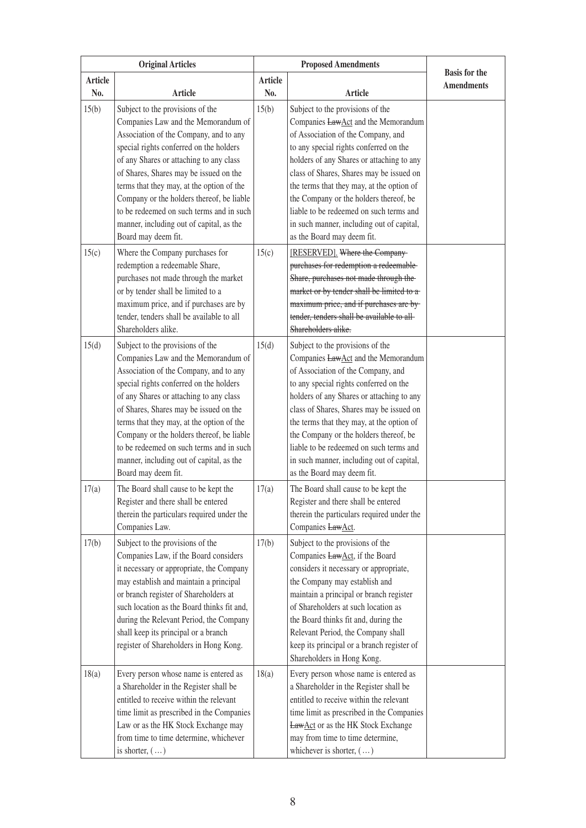|         | <b>Original Articles</b>                                                                                                                                                                                                                                                                                                                                                                                                                                   | <b>Proposed Amendments</b> |                                                                                                                                                                                                                                                                                                                                                                                                                                                               |                                           |
|---------|------------------------------------------------------------------------------------------------------------------------------------------------------------------------------------------------------------------------------------------------------------------------------------------------------------------------------------------------------------------------------------------------------------------------------------------------------------|----------------------------|---------------------------------------------------------------------------------------------------------------------------------------------------------------------------------------------------------------------------------------------------------------------------------------------------------------------------------------------------------------------------------------------------------------------------------------------------------------|-------------------------------------------|
| Article |                                                                                                                                                                                                                                                                                                                                                                                                                                                            | <b>Article</b>             |                                                                                                                                                                                                                                                                                                                                                                                                                                                               | <b>Basis for the</b><br><b>Amendments</b> |
| No.     | Article                                                                                                                                                                                                                                                                                                                                                                                                                                                    | No.                        | Article                                                                                                                                                                                                                                                                                                                                                                                                                                                       |                                           |
| 15(b)   | Subject to the provisions of the<br>Companies Law and the Memorandum of<br>Association of the Company, and to any<br>special rights conferred on the holders<br>of any Shares or attaching to any class<br>of Shares, Shares may be issued on the<br>terms that they may, at the option of the<br>Company or the holders thereof, be liable<br>to be redeemed on such terms and in such<br>manner, including out of capital, as the<br>Board may deem fit. | 15(b)                      | Subject to the provisions of the<br>Companies LawAct and the Memorandum<br>of Association of the Company, and<br>to any special rights conferred on the<br>holders of any Shares or attaching to any<br>class of Shares, Shares may be issued on<br>the terms that they may, at the option of<br>the Company or the holders thereof, be<br>liable to be redeemed on such terms and<br>in such manner, including out of capital,<br>as the Board may deem fit. |                                           |
| 15(c)   | Where the Company purchases for<br>redemption a redeemable Share,<br>purchases not made through the market<br>or by tender shall be limited to a<br>maximum price, and if purchases are by<br>tender, tenders shall be available to all<br>Shareholders alike.                                                                                                                                                                                             | 15(c)                      | [RESERVED]. Where the Company-<br>purchases for redemption a redeemable-<br>Share, purchases not made through the-<br>market or by tender shall be limited to a-<br>maximum price, and if purchases are by-<br>tender, tenders shall be available to all-<br>Shareholders alike.                                                                                                                                                                              |                                           |
| 15(d)   | Subject to the provisions of the<br>Companies Law and the Memorandum of<br>Association of the Company, and to any<br>special rights conferred on the holders<br>of any Shares or attaching to any class<br>of Shares, Shares may be issued on the<br>terms that they may, at the option of the<br>Company or the holders thereof, be liable<br>to be redeemed on such terms and in such<br>manner, including out of capital, as the<br>Board may deem fit. | 15(d)                      | Subject to the provisions of the<br>Companies LawAct and the Memorandum<br>of Association of the Company, and<br>to any special rights conferred on the<br>holders of any Shares or attaching to any<br>class of Shares, Shares may be issued on<br>the terms that they may, at the option of<br>the Company or the holders thereof, be<br>liable to be redeemed on such terms and<br>in such manner, including out of capital,<br>as the Board may deem fit. |                                           |
| 17(a)   | The Board shall cause to be kept the<br>Register and there shall be entered<br>therein the particulars required under the<br>Companies Law.                                                                                                                                                                                                                                                                                                                | 17(a)                      | The Board shall cause to be kept the<br>Register and there shall be entered<br>therein the particulars required under the<br>Companies LawAct.                                                                                                                                                                                                                                                                                                                |                                           |
| 17(b)   | Subject to the provisions of the<br>Companies Law, if the Board considers<br>it necessary or appropriate, the Company<br>may establish and maintain a principal<br>or branch register of Shareholders at<br>such location as the Board thinks fit and,<br>during the Relevant Period, the Company<br>shall keep its principal or a branch<br>register of Shareholders in Hong Kong.                                                                        | 17(b)                      | Subject to the provisions of the<br>Companies LawAct, if the Board<br>considers it necessary or appropriate,<br>the Company may establish and<br>maintain a principal or branch register<br>of Shareholders at such location as<br>the Board thinks fit and, during the<br>Relevant Period, the Company shall<br>keep its principal or a branch register of<br>Shareholders in Hong Kong.                                                                     |                                           |
| 18(a)   | Every person whose name is entered as<br>a Shareholder in the Register shall be<br>entitled to receive within the relevant<br>time limit as prescribed in the Companies<br>Law or as the HK Stock Exchange may<br>from time to time determine, whichever<br>is shorter, $(\dots)$                                                                                                                                                                          | 18(a)                      | Every person whose name is entered as<br>a Shareholder in the Register shall be<br>entitled to receive within the relevant<br>time limit as prescribed in the Companies<br><b>LawAct</b> or as the HK Stock Exchange<br>may from time to time determine,<br>whichever is shorter, $(\ldots)$                                                                                                                                                                  |                                           |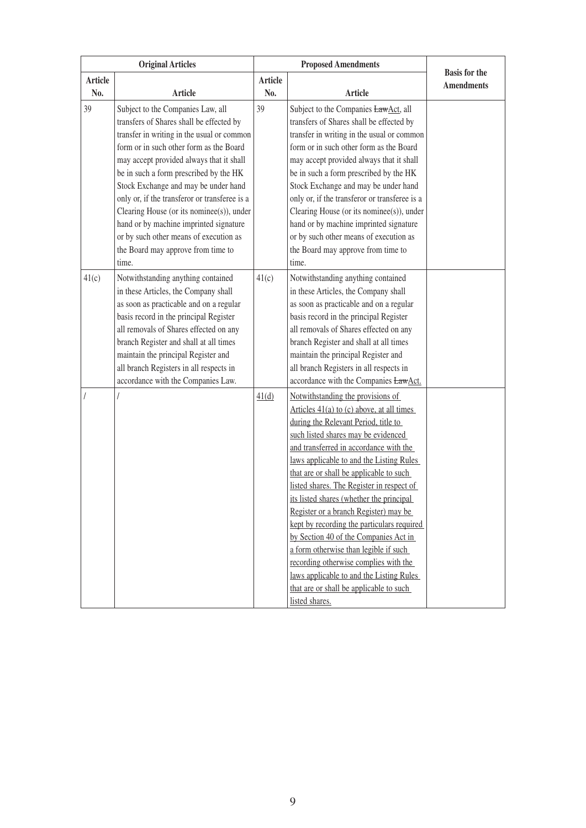| <b>Original Articles</b> |                                                                                                                                                                                                                                                                                                                                                                                                                                                                                                                                       | <b>Proposed Amendments</b> |                                                                                                                                                                                                                                                                                                                                                                                                                                                                                                                                                                                                                                                                                                                      |                                           |
|--------------------------|---------------------------------------------------------------------------------------------------------------------------------------------------------------------------------------------------------------------------------------------------------------------------------------------------------------------------------------------------------------------------------------------------------------------------------------------------------------------------------------------------------------------------------------|----------------------------|----------------------------------------------------------------------------------------------------------------------------------------------------------------------------------------------------------------------------------------------------------------------------------------------------------------------------------------------------------------------------------------------------------------------------------------------------------------------------------------------------------------------------------------------------------------------------------------------------------------------------------------------------------------------------------------------------------------------|-------------------------------------------|
| Article<br>No.           | <b>Article</b>                                                                                                                                                                                                                                                                                                                                                                                                                                                                                                                        | <b>Article</b><br>No.      | <b>Article</b>                                                                                                                                                                                                                                                                                                                                                                                                                                                                                                                                                                                                                                                                                                       | <b>Basis</b> for the<br><b>Amendments</b> |
| 39                       | Subject to the Companies Law, all<br>transfers of Shares shall be effected by<br>transfer in writing in the usual or common<br>form or in such other form as the Board<br>may accept provided always that it shall<br>be in such a form prescribed by the HK<br>Stock Exchange and may be under hand<br>only or, if the transferor or transferee is a<br>Clearing House (or its nominee(s)), under<br>hand or by machine imprinted signature<br>or by such other means of execution as<br>the Board may approve from time to<br>time. | 39                         | Subject to the Companies LawAct, all<br>transfers of Shares shall be effected by<br>transfer in writing in the usual or common<br>form or in such other form as the Board<br>may accept provided always that it shall<br>be in such a form prescribed by the HK<br>Stock Exchange and may be under hand<br>only or, if the transferor or transferee is a<br>Clearing House (or its nominee(s)), under<br>hand or by machine imprinted signature<br>or by such other means of execution as<br>the Board may approve from time to<br>time.                                                                                                                                                                             |                                           |
| 41(c)                    | Notwithstanding anything contained<br>in these Articles, the Company shall<br>as soon as practicable and on a regular<br>basis record in the principal Register<br>all removals of Shares effected on any<br>branch Register and shall at all times<br>maintain the principal Register and<br>all branch Registers in all respects in<br>accordance with the Companies Law.                                                                                                                                                           | 41(c)                      | Notwithstanding anything contained<br>in these Articles, the Company shall<br>as soon as practicable and on a regular<br>basis record in the principal Register<br>all removals of Shares effected on any<br>branch Register and shall at all times<br>maintain the principal Register and<br>all branch Registers in all respects in<br>accordance with the Companies LawAct.                                                                                                                                                                                                                                                                                                                                       |                                           |
|                          |                                                                                                                                                                                                                                                                                                                                                                                                                                                                                                                                       | 41(d)                      | Notwithstanding the provisions of<br>Articles $41(a)$ to (c) above, at all times<br>during the Relevant Period, title to<br>such listed shares may be evidenced<br>and transferred in accordance with the<br>laws applicable to and the Listing Rules<br>that are or shall be applicable to such<br>listed shares. The Register in respect of<br>its listed shares (whether the principal<br>Register or a branch Register) may be<br>kept by recording the particulars required<br>by Section 40 of the Companies Act in<br>a form otherwise than legible if such<br>recording otherwise complies with the<br>laws applicable to and the Listing Rules<br>that are or shall be applicable to such<br>listed shares. |                                           |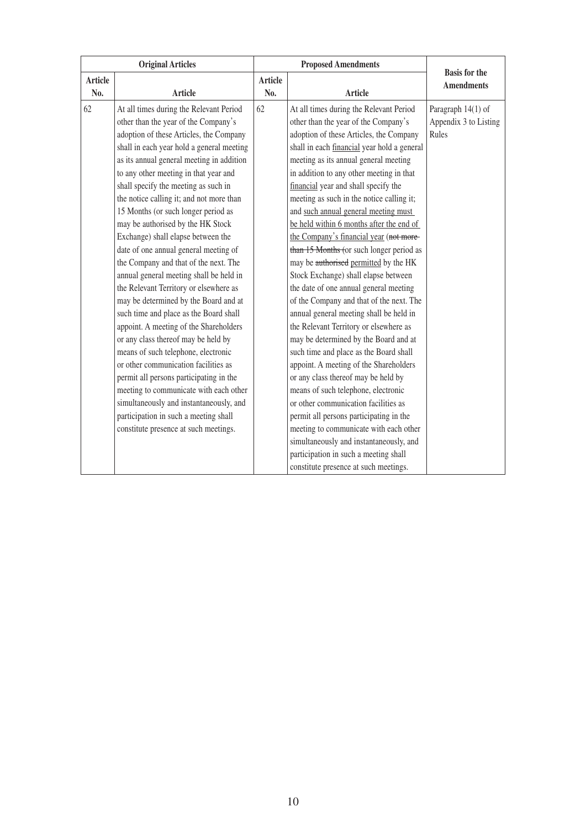| <b>Original Articles</b> |                                           |                | <b>Proposed Amendments</b>                  |                                           |
|--------------------------|-------------------------------------------|----------------|---------------------------------------------|-------------------------------------------|
| <b>Article</b>           |                                           | <b>Article</b> |                                             | <b>Basis for the</b><br><b>Amendments</b> |
| No.                      | <b>Article</b>                            | No.            | <b>Article</b>                              |                                           |
| 62                       | At all times during the Relevant Period   | 62             | At all times during the Relevant Period     | Paragraph 14(1) of                        |
|                          | other than the year of the Company's      |                | other than the year of the Company's        | Appendix 3 to Listing                     |
|                          | adoption of these Articles, the Company   |                | adoption of these Articles, the Company     | Rules                                     |
|                          | shall in each year hold a general meeting |                | shall in each financial year hold a general |                                           |
|                          | as its annual general meeting in addition |                | meeting as its annual general meeting       |                                           |
|                          | to any other meeting in that year and     |                | in addition to any other meeting in that    |                                           |
|                          | shall specify the meeting as such in      |                | financial year and shall specify the        |                                           |
|                          | the notice calling it; and not more than  |                | meeting as such in the notice calling it;   |                                           |
|                          | 15 Months (or such longer period as       |                | and such annual general meeting must        |                                           |
|                          | may be authorised by the HK Stock         |                | be held within 6 months after the end of    |                                           |
|                          | Exchange) shall elapse between the        |                | the Company's financial year (not more-     |                                           |
|                          | date of one annual general meeting of     |                | than 15 Months (or such longer period as    |                                           |
|                          | the Company and that of the next. The     |                | may be authorised permitted by the HK       |                                           |
|                          | annual general meeting shall be held in   |                | Stock Exchange) shall elapse between        |                                           |
|                          | the Relevant Territory or elsewhere as    |                | the date of one annual general meeting      |                                           |
|                          | may be determined by the Board and at     |                | of the Company and that of the next. The    |                                           |
|                          | such time and place as the Board shall    |                | annual general meeting shall be held in     |                                           |
|                          | appoint. A meeting of the Shareholders    |                | the Relevant Territory or elsewhere as      |                                           |
|                          | or any class thereof may be held by       |                | may be determined by the Board and at       |                                           |
|                          | means of such telephone, electronic       |                | such time and place as the Board shall      |                                           |
|                          | or other communication facilities as      |                | appoint. A meeting of the Shareholders      |                                           |
|                          | permit all persons participating in the   |                | or any class thereof may be held by         |                                           |
|                          | meeting to communicate with each other    |                | means of such telephone, electronic         |                                           |
|                          | simultaneously and instantaneously, and   |                | or other communication facilities as        |                                           |
|                          | participation in such a meeting shall     |                | permit all persons participating in the     |                                           |
|                          | constitute presence at such meetings.     |                | meeting to communicate with each other      |                                           |
|                          |                                           |                | simultaneously and instantaneously, and     |                                           |
|                          |                                           |                | participation in such a meeting shall       |                                           |
|                          |                                           |                | constitute presence at such meetings.       |                                           |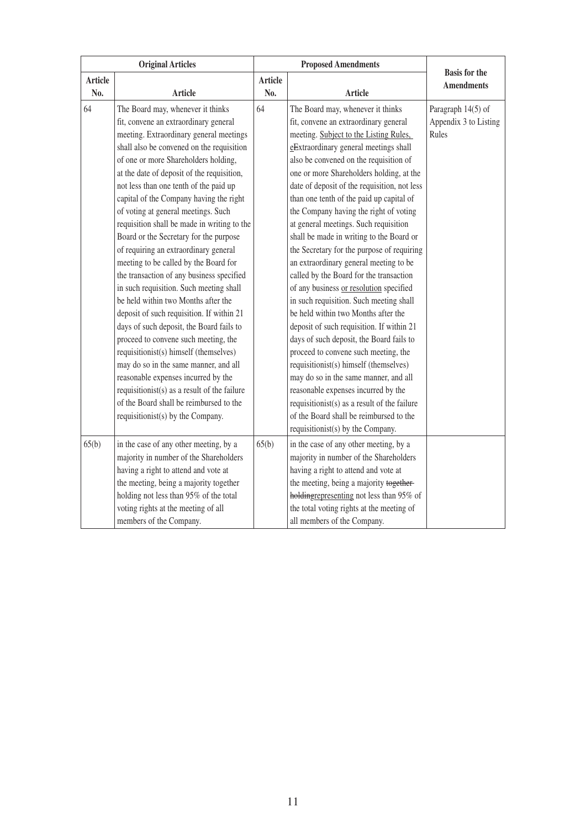| <b>Original Articles</b> |                                                                                                                                                                                                                                                                                                                                                                                                                                                                                                                                                                                                                                                                                                                                                                                                                                                                                                                                                                                                                                                                                            |                       | <b>Proposed Amendments</b>                                                                                                                                                                                                                                                                                                                                                                                                                                                                                                                                                                                                                                                                                                                                                                                                                                                                                                                                                                                                                                                                                                                |                                                      |
|--------------------------|--------------------------------------------------------------------------------------------------------------------------------------------------------------------------------------------------------------------------------------------------------------------------------------------------------------------------------------------------------------------------------------------------------------------------------------------------------------------------------------------------------------------------------------------------------------------------------------------------------------------------------------------------------------------------------------------------------------------------------------------------------------------------------------------------------------------------------------------------------------------------------------------------------------------------------------------------------------------------------------------------------------------------------------------------------------------------------------------|-----------------------|-------------------------------------------------------------------------------------------------------------------------------------------------------------------------------------------------------------------------------------------------------------------------------------------------------------------------------------------------------------------------------------------------------------------------------------------------------------------------------------------------------------------------------------------------------------------------------------------------------------------------------------------------------------------------------------------------------------------------------------------------------------------------------------------------------------------------------------------------------------------------------------------------------------------------------------------------------------------------------------------------------------------------------------------------------------------------------------------------------------------------------------------|------------------------------------------------------|
| <b>Article</b><br>No.    | <b>Article</b>                                                                                                                                                                                                                                                                                                                                                                                                                                                                                                                                                                                                                                                                                                                                                                                                                                                                                                                                                                                                                                                                             | <b>Article</b><br>No. | <b>Article</b>                                                                                                                                                                                                                                                                                                                                                                                                                                                                                                                                                                                                                                                                                                                                                                                                                                                                                                                                                                                                                                                                                                                            | <b>Basis for the</b><br><b>Amendments</b>            |
| 64                       | The Board may, whenever it thinks<br>fit, convene an extraordinary general<br>meeting. Extraordinary general meetings<br>shall also be convened on the requisition<br>of one or more Shareholders holding,<br>at the date of deposit of the requisition,<br>not less than one tenth of the paid up<br>capital of the Company having the right<br>of voting at general meetings. Such<br>requisition shall be made in writing to the<br>Board or the Secretary for the purpose<br>of requiring an extraordinary general<br>meeting to be called by the Board for<br>the transaction of any business specified<br>in such requisition. Such meeting shall<br>be held within two Months after the<br>deposit of such requisition. If within 21<br>days of such deposit, the Board fails to<br>proceed to convene such meeting, the<br>requisitionist(s) himself (themselves)<br>may do so in the same manner, and all<br>reasonable expenses incurred by the<br>requisition ist(s) as a result of the failure<br>of the Board shall be reimbursed to the<br>requisitionist(s) by the Company. | 64                    | The Board may, whenever it thinks<br>fit, convene an extraordinary general<br>meeting. Subject to the Listing Rules,<br>eExtraordinary general meetings shall<br>also be convened on the requisition of<br>one or more Shareholders holding, at the<br>date of deposit of the requisition, not less<br>than one tenth of the paid up capital of<br>the Company having the right of voting<br>at general meetings. Such requisition<br>shall be made in writing to the Board or<br>the Secretary for the purpose of requiring<br>an extraordinary general meeting to be<br>called by the Board for the transaction<br>of any business or resolution specified<br>in such requisition. Such meeting shall<br>be held within two Months after the<br>deposit of such requisition. If within 21<br>days of such deposit, the Board fails to<br>proceed to convene such meeting, the<br>requisitionist(s) himself (themselves)<br>may do so in the same manner, and all<br>reasonable expenses incurred by the<br>requisitionist(s) as a result of the failure<br>of the Board shall be reimbursed to the<br>requisitionist(s) by the Company. | Paragraph 14(5) of<br>Appendix 3 to Listing<br>Rules |
| 65(b)                    | in the case of any other meeting, by a<br>majority in number of the Shareholders<br>having a right to attend and vote at<br>the meeting, being a majority together<br>holding not less than 95% of the total<br>voting rights at the meeting of all<br>members of the Company.                                                                                                                                                                                                                                                                                                                                                                                                                                                                                                                                                                                                                                                                                                                                                                                                             | 65(b)                 | in the case of any other meeting, by a<br>majority in number of the Shareholders<br>having a right to attend and vote at<br>the meeting, being a majority together-<br>holdingrepresenting not less than 95% of<br>the total voting rights at the meeting of<br>all members of the Company.                                                                                                                                                                                                                                                                                                                                                                                                                                                                                                                                                                                                                                                                                                                                                                                                                                               |                                                      |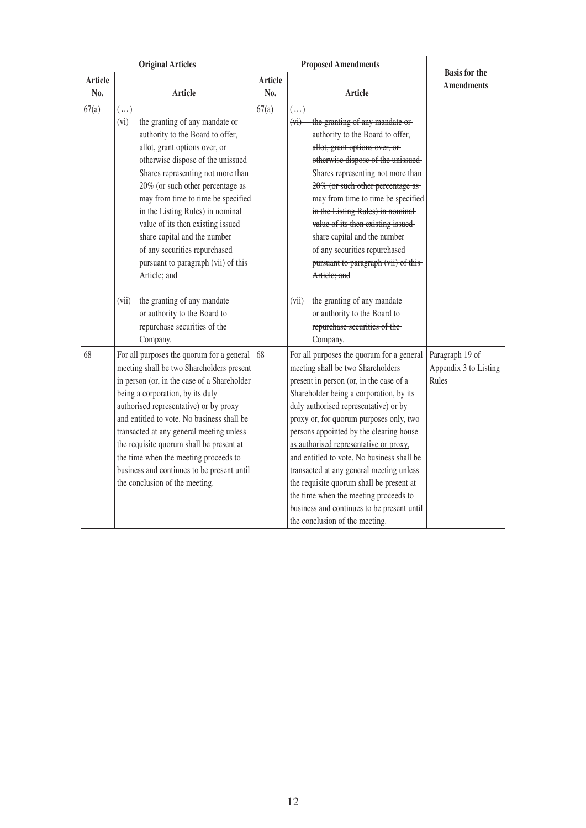|                | <b>Original Articles</b>                                                                                                                                                                                                                                                                                                                                                                                                                                                           |                | <b>Proposed Amendments</b>                                                                                                                                                                                                                                                                                                                                                                                                                                                                                                                                                                                   |                                                   |
|----------------|------------------------------------------------------------------------------------------------------------------------------------------------------------------------------------------------------------------------------------------------------------------------------------------------------------------------------------------------------------------------------------------------------------------------------------------------------------------------------------|----------------|--------------------------------------------------------------------------------------------------------------------------------------------------------------------------------------------------------------------------------------------------------------------------------------------------------------------------------------------------------------------------------------------------------------------------------------------------------------------------------------------------------------------------------------------------------------------------------------------------------------|---------------------------------------------------|
| <b>Article</b> |                                                                                                                                                                                                                                                                                                                                                                                                                                                                                    | <b>Article</b> |                                                                                                                                                                                                                                                                                                                                                                                                                                                                                                                                                                                                              | <b>Basis for the</b><br><b>Amendments</b>         |
| No.            | <b>Article</b>                                                                                                                                                                                                                                                                                                                                                                                                                                                                     | No.            | <b>Article</b>                                                                                                                                                                                                                                                                                                                                                                                                                                                                                                                                                                                               |                                                   |
| 67(a)          | $(\ldots)$<br>(vi)<br>the granting of any mandate or<br>authority to the Board to offer,<br>allot, grant options over, or<br>otherwise dispose of the unissued<br>Shares representing not more than<br>20% (or such other percentage as<br>may from time to time be specified<br>in the Listing Rules) in nominal<br>value of its then existing issued<br>share capital and the number<br>of any securities repurchased<br>pursuant to paragraph (vii) of this<br>Article; and     | 67(a)          | $(\ldots)$<br>the granting of any mandate or-<br>$(v_i)$<br>authority to the Board to offer,<br>allot, grant options over, or-<br>otherwise dispose of the unissued-<br>Shares representing not more than-<br>20% (or such other percentage as-<br>may from time to time be specified<br>in the Listing Rules) in nominal-<br>value of its then existing issued-<br>share capital and the number-<br>of any securities repurchased<br>pursuant to paragraph (vii) of this-<br>Article; and                                                                                                                   |                                                   |
|                | the granting of any mandate<br>(vii)<br>or authority to the Board to<br>repurchase securities of the<br>Company.                                                                                                                                                                                                                                                                                                                                                                   |                | the granting of any mandate-<br>$(\overline{\text{vii}})$<br>or authority to the Board to-<br>repurchase securities of the<br>Company.                                                                                                                                                                                                                                                                                                                                                                                                                                                                       |                                                   |
| 68             | For all purposes the quorum for a general<br>meeting shall be two Shareholders present<br>in person (or, in the case of a Shareholder<br>being a corporation, by its duly<br>authorised representative) or by proxy<br>and entitled to vote. No business shall be<br>transacted at any general meeting unless<br>the requisite quorum shall be present at<br>the time when the meeting proceeds to<br>business and continues to be present until<br>the conclusion of the meeting. | 68             | For all purposes the quorum for a general<br>meeting shall be two Shareholders<br>present in person (or, in the case of a<br>Shareholder being a corporation, by its<br>duly authorised representative) or by<br>proxy or, for quorum purposes only, two<br>persons appointed by the clearing house<br>as authorised representative or proxy,<br>and entitled to vote. No business shall be<br>transacted at any general meeting unless<br>the requisite quorum shall be present at<br>the time when the meeting proceeds to<br>business and continues to be present until<br>the conclusion of the meeting. | Paragraph 19 of<br>Appendix 3 to Listing<br>Rules |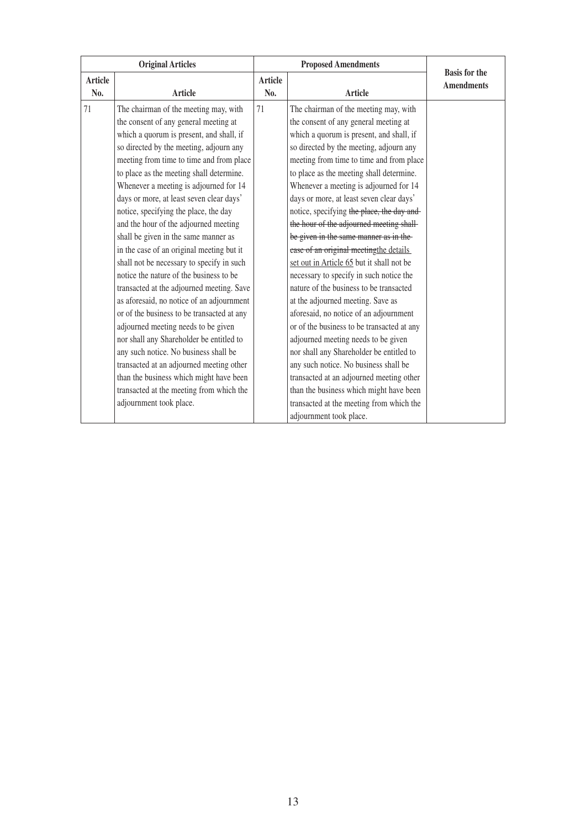| <b>Original Articles</b> |                                                                                     |                       | <b>Proposed Amendments</b>                                                            |                                           |
|--------------------------|-------------------------------------------------------------------------------------|-----------------------|---------------------------------------------------------------------------------------|-------------------------------------------|
| <b>Article</b><br>No.    | <b>Article</b>                                                                      | <b>Article</b><br>No. | <b>Article</b>                                                                        | <b>Basis for the</b><br><b>Amendments</b> |
| 71                       | The chairman of the meeting may, with<br>the consent of any general meeting at      | 71                    | The chairman of the meeting may, with<br>the consent of any general meeting at        |                                           |
|                          | which a quorum is present, and shall, if<br>so directed by the meeting, adjourn any |                       | which a quorum is present, and shall, if<br>so directed by the meeting, adjourn any   |                                           |
|                          | meeting from time to time and from place                                            |                       | meeting from time to time and from place                                              |                                           |
|                          | to place as the meeting shall determine.<br>Whenever a meeting is adjourned for 14  |                       | to place as the meeting shall determine.<br>Whenever a meeting is adjourned for 14    |                                           |
|                          | days or more, at least seven clear days'<br>notice, specifying the place, the day   |                       | days or more, at least seven clear days'<br>notice, specifying the place, the day and |                                           |
|                          | and the hour of the adjourned meeting                                               |                       | the hour of the adjourned meeting shall-                                              |                                           |
|                          | shall be given in the same manner as                                                |                       | be given in the same manner as in the                                                 |                                           |
|                          | in the case of an original meeting but it                                           |                       | ease of an original meetingthe details                                                |                                           |
|                          | shall not be necessary to specify in such                                           |                       | set out in Article 65 but it shall not be                                             |                                           |
|                          | notice the nature of the business to be                                             |                       | necessary to specify in such notice the                                               |                                           |
|                          | transacted at the adjourned meeting. Save                                           |                       | nature of the business to be transacted                                               |                                           |
|                          | as aforesaid, no notice of an adjournment                                           |                       | at the adjourned meeting. Save as                                                     |                                           |
|                          | or of the business to be transacted at any                                          |                       | aforesaid, no notice of an adjournment                                                |                                           |
|                          | adjourned meeting needs to be given                                                 |                       | or of the business to be transacted at any                                            |                                           |
|                          | nor shall any Shareholder be entitled to                                            |                       | adjourned meeting needs to be given                                                   |                                           |
|                          | any such notice. No business shall be                                               |                       | nor shall any Shareholder be entitled to                                              |                                           |
|                          | transacted at an adjourned meeting other                                            |                       | any such notice. No business shall be                                                 |                                           |
|                          | than the business which might have been                                             |                       | transacted at an adjourned meeting other                                              |                                           |
|                          | transacted at the meeting from which the                                            |                       | than the business which might have been                                               |                                           |
|                          | adjournment took place.                                                             |                       | transacted at the meeting from which the                                              |                                           |
|                          |                                                                                     |                       | adjournment took place.                                                               |                                           |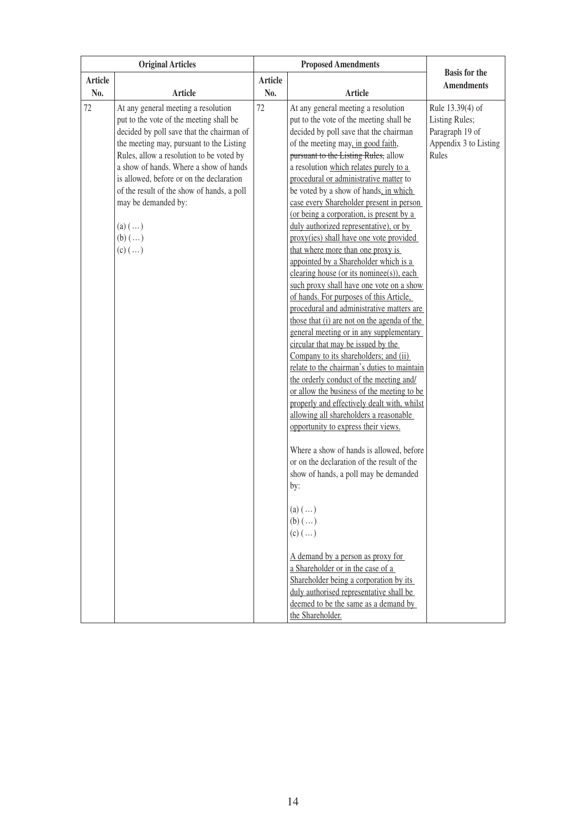|                       | <b>Original Articles</b>                                                                                                                                                                                                                                                                                                                                                                                                                   | <b>Proposed Amendments</b> |                                                                                                                                                                                                                                                                                                                                                                                                                                                                                                                                                                                                                                                                                                                                                                                                                                                                                                                                                                                                                                                                                                                                                                                                                                                                                                                                                                                                                                                                                                                                                                                                                                      |                                                                                         |
|-----------------------|--------------------------------------------------------------------------------------------------------------------------------------------------------------------------------------------------------------------------------------------------------------------------------------------------------------------------------------------------------------------------------------------------------------------------------------------|----------------------------|--------------------------------------------------------------------------------------------------------------------------------------------------------------------------------------------------------------------------------------------------------------------------------------------------------------------------------------------------------------------------------------------------------------------------------------------------------------------------------------------------------------------------------------------------------------------------------------------------------------------------------------------------------------------------------------------------------------------------------------------------------------------------------------------------------------------------------------------------------------------------------------------------------------------------------------------------------------------------------------------------------------------------------------------------------------------------------------------------------------------------------------------------------------------------------------------------------------------------------------------------------------------------------------------------------------------------------------------------------------------------------------------------------------------------------------------------------------------------------------------------------------------------------------------------------------------------------------------------------------------------------------|-----------------------------------------------------------------------------------------|
| <b>Article</b><br>No. | <b>Article</b>                                                                                                                                                                                                                                                                                                                                                                                                                             | <b>Article</b><br>No.      | <b>Article</b>                                                                                                                                                                                                                                                                                                                                                                                                                                                                                                                                                                                                                                                                                                                                                                                                                                                                                                                                                                                                                                                                                                                                                                                                                                                                                                                                                                                                                                                                                                                                                                                                                       | <b>Basis</b> for the<br><b>Amendments</b>                                               |
| 72                    | At any general meeting a resolution<br>put to the vote of the meeting shall be<br>decided by poll save that the chairman of<br>the meeting may, pursuant to the Listing<br>Rules, allow a resolution to be voted by<br>a show of hands. Where a show of hands<br>is allowed, before or on the declaration<br>of the result of the show of hands, a poll<br>may be demanded by:<br>$(a)$ $(\ldots)$<br>$(b)$ $(\ldots)$<br>$(c)$ $(\ldots)$ | 72                         | At any general meeting a resolution<br>put to the vote of the meeting shall be<br>decided by poll save that the chairman<br>of the meeting may, in good faith,<br>pursuant to the Listing Rules, allow<br>a resolution which relates purely to a<br>procedural or administrative matter to<br>be voted by a show of hands, in which<br>case every Shareholder present in person<br>(or being a corporation, is present by a<br>duly authorized representative), or by<br>proxy(ies) shall have one vote provided<br>that where more than one proxy is<br>appointed by a Shareholder which is a<br>clearing house (or its nominee(s)), each<br>such proxy shall have one vote on a show<br>of hands. For purposes of this Article,<br>procedural and administrative matters are<br>those that (i) are not on the agenda of the<br>general meeting or in any supplementary<br>circular that may be issued by the<br>Company to its shareholders; and (ii)<br>relate to the chairman's duties to maintain<br>the orderly conduct of the meeting and/<br>or allow the business of the meeting to be<br>properly and effectively dealt with, whilst<br>allowing all shareholders a reasonable<br>opportunity to express their views.<br>Where a show of hands is allowed, before<br>or on the declaration of the result of the<br>show of hands, a poll may be demanded<br>by:<br>(a) $(\ldots)$<br>$(b)$ $()$<br>$(c)$ $(\ldots)$<br>A demand by a person as proxy for<br>a Shareholder or in the case of a<br>Shareholder being a corporation by its<br>duly authorised representative shall be<br>deemed to be the same as a demand by | Rule 13.39(4) of<br>Listing Rules;<br>Paragraph 19 of<br>Appendix 3 to Listing<br>Rules |
|                       |                                                                                                                                                                                                                                                                                                                                                                                                                                            |                            | the Shareholder.                                                                                                                                                                                                                                                                                                                                                                                                                                                                                                                                                                                                                                                                                                                                                                                                                                                                                                                                                                                                                                                                                                                                                                                                                                                                                                                                                                                                                                                                                                                                                                                                                     |                                                                                         |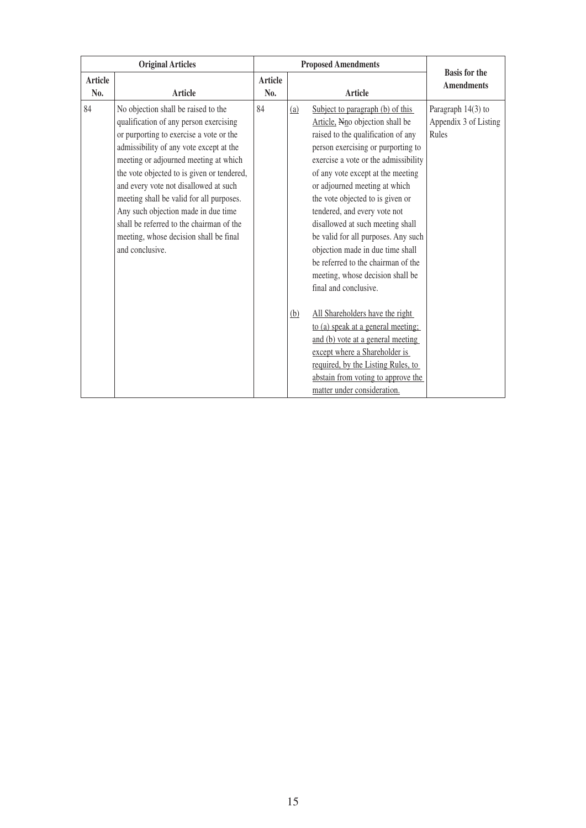| <b>Original Articles</b> |                                                                                                                                                                                                                                                                                                                                                                                                                                                                                                 | <b>Proposed Amendments</b> |            |                                                                                                                                                                                                                                                                                                                                                                                                                                                                                                                                                                                                                                                                                                    | <b>Basis for the</b>                                 |
|--------------------------|-------------------------------------------------------------------------------------------------------------------------------------------------------------------------------------------------------------------------------------------------------------------------------------------------------------------------------------------------------------------------------------------------------------------------------------------------------------------------------------------------|----------------------------|------------|----------------------------------------------------------------------------------------------------------------------------------------------------------------------------------------------------------------------------------------------------------------------------------------------------------------------------------------------------------------------------------------------------------------------------------------------------------------------------------------------------------------------------------------------------------------------------------------------------------------------------------------------------------------------------------------------------|------------------------------------------------------|
| Article<br>No.           | <b>Article</b>                                                                                                                                                                                                                                                                                                                                                                                                                                                                                  | Article<br>No.             |            | Article                                                                                                                                                                                                                                                                                                                                                                                                                                                                                                                                                                                                                                                                                            | <b>Amendments</b>                                    |
| 84                       | No objection shall be raised to the<br>qualification of any person exercising<br>or purporting to exercise a vote or the<br>admissibility of any vote except at the<br>meeting or adjourned meeting at which<br>the vote objected to is given or tendered,<br>and every vote not disallowed at such<br>meeting shall be valid for all purposes.<br>Any such objection made in due time<br>shall be referred to the chairman of the<br>meeting, whose decision shall be final<br>and conclusive. | 84                         | (a)<br>(b) | Subject to paragraph (b) of this<br>Article, Nno objection shall be<br>raised to the qualification of any<br>person exercising or purporting to<br>exercise a vote or the admissibility<br>of any vote except at the meeting<br>or adjourned meeting at which<br>the vote objected to is given or<br>tendered, and every vote not<br>disallowed at such meeting shall<br>be valid for all purposes. Any such<br>objection made in due time shall<br>be referred to the chairman of the<br>meeting, whose decision shall be<br>final and conclusive.<br>All Shareholders have the right<br>to (a) speak at a general meeting;<br>and (b) vote at a general meeting<br>except where a Shareholder is | Paragraph 14(3) to<br>Appendix 3 of Listing<br>Rules |
|                          |                                                                                                                                                                                                                                                                                                                                                                                                                                                                                                 |                            |            | required, by the Listing Rules, to<br>abstain from voting to approve the<br>matter under consideration.                                                                                                                                                                                                                                                                                                                                                                                                                                                                                                                                                                                            |                                                      |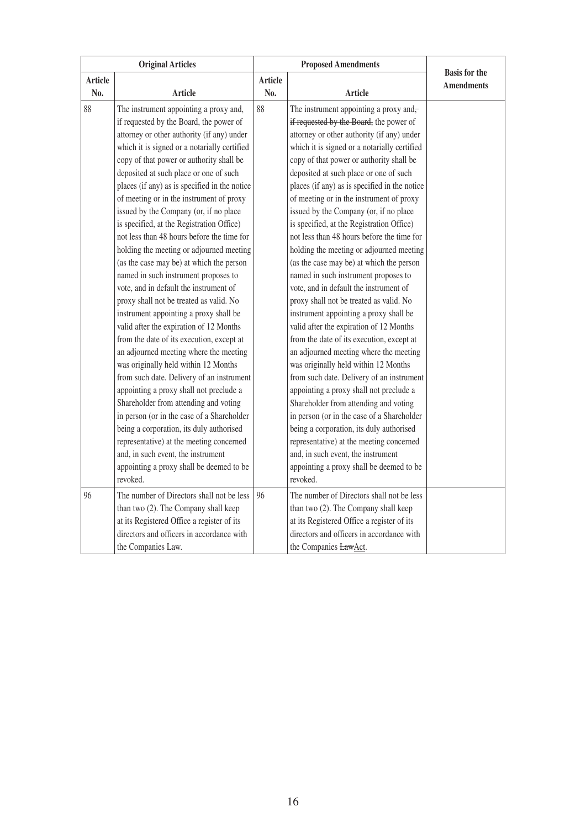| <b>Original Articles</b> |                                                                                                                                                                                                                                                                                                                                                                                                                                                                                                                                                                                                                                                                                                                                                                                                                                                                                                                                                                                                                                                                                                                                                                                                                                                                                 |                | <b>Proposed Amendments</b>                                                                                                                                                                                                                                                                                                                                                                                                                                                                                                                                                                                                                                                                                                                                                                                                                                                                                                                                                                                                                                                                                                                                                                                                                                                      |                                           |
|--------------------------|---------------------------------------------------------------------------------------------------------------------------------------------------------------------------------------------------------------------------------------------------------------------------------------------------------------------------------------------------------------------------------------------------------------------------------------------------------------------------------------------------------------------------------------------------------------------------------------------------------------------------------------------------------------------------------------------------------------------------------------------------------------------------------------------------------------------------------------------------------------------------------------------------------------------------------------------------------------------------------------------------------------------------------------------------------------------------------------------------------------------------------------------------------------------------------------------------------------------------------------------------------------------------------|----------------|---------------------------------------------------------------------------------------------------------------------------------------------------------------------------------------------------------------------------------------------------------------------------------------------------------------------------------------------------------------------------------------------------------------------------------------------------------------------------------------------------------------------------------------------------------------------------------------------------------------------------------------------------------------------------------------------------------------------------------------------------------------------------------------------------------------------------------------------------------------------------------------------------------------------------------------------------------------------------------------------------------------------------------------------------------------------------------------------------------------------------------------------------------------------------------------------------------------------------------------------------------------------------------|-------------------------------------------|
| Article                  |                                                                                                                                                                                                                                                                                                                                                                                                                                                                                                                                                                                                                                                                                                                                                                                                                                                                                                                                                                                                                                                                                                                                                                                                                                                                                 | <b>Article</b> |                                                                                                                                                                                                                                                                                                                                                                                                                                                                                                                                                                                                                                                                                                                                                                                                                                                                                                                                                                                                                                                                                                                                                                                                                                                                                 | <b>Basis</b> for the<br><b>Amendments</b> |
|                          |                                                                                                                                                                                                                                                                                                                                                                                                                                                                                                                                                                                                                                                                                                                                                                                                                                                                                                                                                                                                                                                                                                                                                                                                                                                                                 |                |                                                                                                                                                                                                                                                                                                                                                                                                                                                                                                                                                                                                                                                                                                                                                                                                                                                                                                                                                                                                                                                                                                                                                                                                                                                                                 |                                           |
| No.<br>88                | <b>Article</b><br>The instrument appointing a proxy and,<br>if requested by the Board, the power of<br>attorney or other authority (if any) under<br>which it is signed or a notarially certified<br>copy of that power or authority shall be<br>deposited at such place or one of such<br>places (if any) as is specified in the notice<br>of meeting or in the instrument of proxy<br>issued by the Company (or, if no place<br>is specified, at the Registration Office)<br>not less than 48 hours before the time for<br>holding the meeting or adjourned meeting<br>(as the case may be) at which the person<br>named in such instrument proposes to<br>vote, and in default the instrument of<br>proxy shall not be treated as valid. No<br>instrument appointing a proxy shall be<br>valid after the expiration of 12 Months<br>from the date of its execution, except at<br>an adjourned meeting where the meeting<br>was originally held within 12 Months<br>from such date. Delivery of an instrument<br>appointing a proxy shall not preclude a<br>Shareholder from attending and voting<br>in person (or in the case of a Shareholder<br>being a corporation, its duly authorised<br>representative) at the meeting concerned<br>and, in such event, the instrument | No.<br>88      | <b>Article</b><br>The instrument appointing a proxy and-<br>if requested by the Board, the power of<br>attorney or other authority (if any) under<br>which it is signed or a notarially certified<br>copy of that power or authority shall be<br>deposited at such place or one of such<br>places (if any) as is specified in the notice<br>of meeting or in the instrument of proxy<br>issued by the Company (or, if no place<br>is specified, at the Registration Office)<br>not less than 48 hours before the time for<br>holding the meeting or adjourned meeting<br>(as the case may be) at which the person<br>named in such instrument proposes to<br>vote, and in default the instrument of<br>proxy shall not be treated as valid. No<br>instrument appointing a proxy shall be<br>valid after the expiration of 12 Months<br>from the date of its execution, except at<br>an adjourned meeting where the meeting<br>was originally held within 12 Months<br>from such date. Delivery of an instrument<br>appointing a proxy shall not preclude a<br>Shareholder from attending and voting<br>in person (or in the case of a Shareholder<br>being a corporation, its duly authorised<br>representative) at the meeting concerned<br>and, in such event, the instrument |                                           |
|                          | appointing a proxy shall be deemed to be<br>revoked.                                                                                                                                                                                                                                                                                                                                                                                                                                                                                                                                                                                                                                                                                                                                                                                                                                                                                                                                                                                                                                                                                                                                                                                                                            |                | appointing a proxy shall be deemed to be<br>revoked.                                                                                                                                                                                                                                                                                                                                                                                                                                                                                                                                                                                                                                                                                                                                                                                                                                                                                                                                                                                                                                                                                                                                                                                                                            |                                           |
| 96                       | The number of Directors shall not be less<br>than two (2). The Company shall keep<br>at its Registered Office a register of its<br>directors and officers in accordance with<br>the Companies Law.                                                                                                                                                                                                                                                                                                                                                                                                                                                                                                                                                                                                                                                                                                                                                                                                                                                                                                                                                                                                                                                                              | 96             | The number of Directors shall not be less<br>than two (2). The Company shall keep<br>at its Registered Office a register of its<br>directors and officers in accordance with<br>the Companies LawAct.                                                                                                                                                                                                                                                                                                                                                                                                                                                                                                                                                                                                                                                                                                                                                                                                                                                                                                                                                                                                                                                                           |                                           |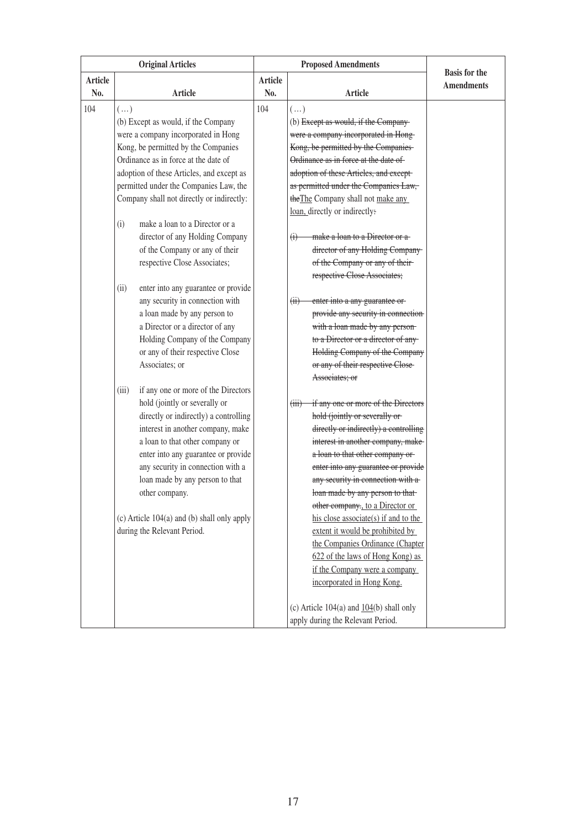| <b>Original Articles</b> |            | <b>Proposed Amendments</b>                  |         |                                                     |                      |
|--------------------------|------------|---------------------------------------------|---------|-----------------------------------------------------|----------------------|
| <b>Article</b>           |            |                                             | Article |                                                     | <b>Basis</b> for the |
| No.                      |            | Article                                     | No.     | Article                                             | <b>Amendments</b>    |
| 104                      | $(\ldots)$ |                                             | 104     | $(\ldots)$                                          |                      |
|                          |            | (b) Except as would, if the Company         |         | (b) Except as would, if the Company-                |                      |
|                          |            | were a company incorporated in Hong         |         | were a company incorporated in Hong-                |                      |
|                          |            | Kong, be permitted by the Companies         |         | Kong, be permitted by the Companies-                |                      |
|                          |            | Ordinance as in force at the date of        |         | Ordinance as in force at the date of-               |                      |
|                          |            | adoption of these Articles, and except as   |         | adoption of these Articles, and except-             |                      |
|                          |            | permitted under the Companies Law, the      |         | as permitted under the Companies Law,               |                      |
|                          |            | Company shall not directly or indirectly:   |         | the The Company shall not make any                  |                      |
|                          |            |                                             |         | loan, directly or indirectly:                       |                      |
|                          | (i)        | make a loan to a Director or a              |         |                                                     |                      |
|                          |            | director of any Holding Company             |         | make a loan to a Director or a<br>$\leftrightarrow$ |                      |
|                          |            | of the Company or any of their              |         | director of any Holding Company-                    |                      |
|                          |            | respective Close Associates;                |         | of the Company or any of their-                     |                      |
|                          |            |                                             |         | respective Close Associates;                        |                      |
|                          | (ii)       | enter into any guarantee or provide         |         |                                                     |                      |
|                          |            | any security in connection with             |         | enter into a any guarantee or-<br>(ii)              |                      |
|                          |            | a loan made by any person to                |         | provide any security in connection                  |                      |
|                          |            | a Director or a director of any             |         | with a loan made by any person-                     |                      |
|                          |            | Holding Company of the Company              |         | to a Director or a director of any-                 |                      |
|                          |            | or any of their respective Close            |         | Holding Company of the Company                      |                      |
|                          |            | Associates; or                              |         | or any of their respective Close-                   |                      |
|                          |            |                                             |         | Associates; or                                      |                      |
|                          | (iii)      | if any one or more of the Directors         |         |                                                     |                      |
|                          |            | hold (jointly or severally or               |         | if any one or more of the Directors<br>(iii)        |                      |
|                          |            | directly or indirectly) a controlling       |         | hold (jointly or severally or-                      |                      |
|                          |            | interest in another company, make           |         | directly or indirectly) a controlling               |                      |
|                          |            | a loan to that other company or             |         | interest in another company, make-                  |                      |
|                          |            | enter into any guarantee or provide         |         | a loan to that other company or-                    |                      |
|                          |            | any security in connection with a           |         | enter into any guarantee or provide                 |                      |
|                          |            | loan made by any person to that             |         | any security in connection with a-                  |                      |
|                          |            | other company.                              |         | loan made by any person to that-                    |                      |
|                          |            |                                             |         | other company., to a Director or                    |                      |
|                          |            | (c) Article 104(a) and (b) shall only apply |         | his close associate(s) if and to the                |                      |
|                          |            | during the Relevant Period.                 |         | extent it would be prohibited by                    |                      |
|                          |            |                                             |         | the Companies Ordinance (Chapter                    |                      |
|                          |            |                                             |         | 622 of the laws of Hong Kong) as                    |                      |
|                          |            |                                             |         | if the Company were a company                       |                      |
|                          |            |                                             |         | incorporated in Hong Kong.                          |                      |
|                          |            |                                             |         |                                                     |                      |
|                          |            |                                             |         | (c) Article $104(a)$ and $104(b)$ shall only        |                      |
|                          |            |                                             |         | apply during the Relevant Period.                   |                      |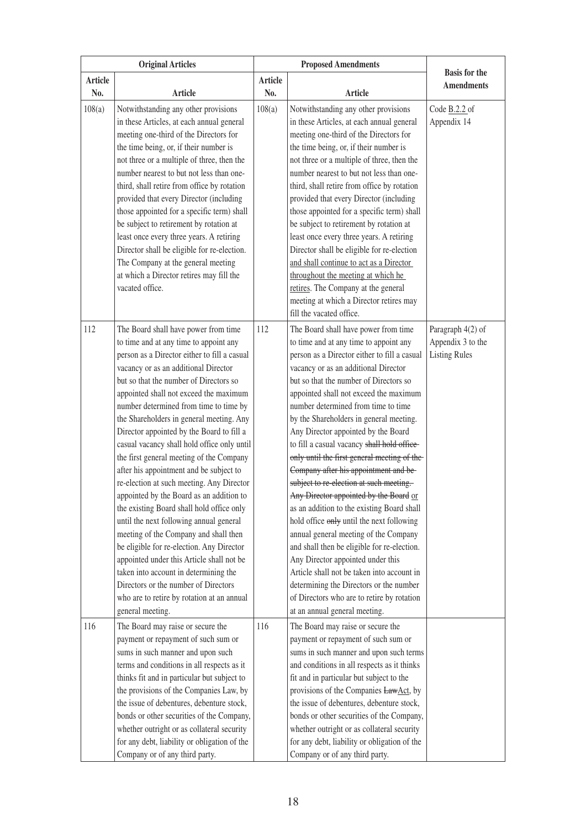|                | <b>Original Articles</b>                                                                                                                                                                                                                                                                                                                                                                                                                                                                                                                                                                                                                                                                                                                                                                                                                                                                                                                                                                          | <b>Proposed Amendments</b> |                                                                                                                                                                                                                                                                                                                                                                                                                                                                                                                                                                                                                                                                                                                                                                                                                                                                                                                                                                         |                      |
|----------------|---------------------------------------------------------------------------------------------------------------------------------------------------------------------------------------------------------------------------------------------------------------------------------------------------------------------------------------------------------------------------------------------------------------------------------------------------------------------------------------------------------------------------------------------------------------------------------------------------------------------------------------------------------------------------------------------------------------------------------------------------------------------------------------------------------------------------------------------------------------------------------------------------------------------------------------------------------------------------------------------------|----------------------------|-------------------------------------------------------------------------------------------------------------------------------------------------------------------------------------------------------------------------------------------------------------------------------------------------------------------------------------------------------------------------------------------------------------------------------------------------------------------------------------------------------------------------------------------------------------------------------------------------------------------------------------------------------------------------------------------------------------------------------------------------------------------------------------------------------------------------------------------------------------------------------------------------------------------------------------------------------------------------|----------------------|
| <b>Article</b> |                                                                                                                                                                                                                                                                                                                                                                                                                                                                                                                                                                                                                                                                                                                                                                                                                                                                                                                                                                                                   | <b>Article</b>             |                                                                                                                                                                                                                                                                                                                                                                                                                                                                                                                                                                                                                                                                                                                                                                                                                                                                                                                                                                         | <b>Basis for the</b> |
| No.            | Article                                                                                                                                                                                                                                                                                                                                                                                                                                                                                                                                                                                                                                                                                                                                                                                                                                                                                                                                                                                           | No.                        | <b>Article</b>                                                                                                                                                                                                                                                                                                                                                                                                                                                                                                                                                                                                                                                                                                                                                                                                                                                                                                                                                          | <b>Amendments</b>    |
| 108(a)         | Notwithstanding any other provisions                                                                                                                                                                                                                                                                                                                                                                                                                                                                                                                                                                                                                                                                                                                                                                                                                                                                                                                                                              | 108(a)                     | Notwithstanding any other provisions                                                                                                                                                                                                                                                                                                                                                                                                                                                                                                                                                                                                                                                                                                                                                                                                                                                                                                                                    | Code B.2.2 of        |
|                | in these Articles, at each annual general                                                                                                                                                                                                                                                                                                                                                                                                                                                                                                                                                                                                                                                                                                                                                                                                                                                                                                                                                         |                            | in these Articles, at each annual general                                                                                                                                                                                                                                                                                                                                                                                                                                                                                                                                                                                                                                                                                                                                                                                                                                                                                                                               | Appendix 14          |
|                | meeting one-third of the Directors for                                                                                                                                                                                                                                                                                                                                                                                                                                                                                                                                                                                                                                                                                                                                                                                                                                                                                                                                                            |                            | meeting one-third of the Directors for                                                                                                                                                                                                                                                                                                                                                                                                                                                                                                                                                                                                                                                                                                                                                                                                                                                                                                                                  |                      |
|                | the time being, or, if their number is                                                                                                                                                                                                                                                                                                                                                                                                                                                                                                                                                                                                                                                                                                                                                                                                                                                                                                                                                            |                            | the time being, or, if their number is                                                                                                                                                                                                                                                                                                                                                                                                                                                                                                                                                                                                                                                                                                                                                                                                                                                                                                                                  |                      |
|                | not three or a multiple of three, then the                                                                                                                                                                                                                                                                                                                                                                                                                                                                                                                                                                                                                                                                                                                                                                                                                                                                                                                                                        |                            | not three or a multiple of three, then the                                                                                                                                                                                                                                                                                                                                                                                                                                                                                                                                                                                                                                                                                                                                                                                                                                                                                                                              |                      |
|                | number nearest to but not less than one-                                                                                                                                                                                                                                                                                                                                                                                                                                                                                                                                                                                                                                                                                                                                                                                                                                                                                                                                                          |                            | number nearest to but not less than one-                                                                                                                                                                                                                                                                                                                                                                                                                                                                                                                                                                                                                                                                                                                                                                                                                                                                                                                                |                      |
|                | third, shall retire from office by rotation                                                                                                                                                                                                                                                                                                                                                                                                                                                                                                                                                                                                                                                                                                                                                                                                                                                                                                                                                       |                            | third, shall retire from office by rotation                                                                                                                                                                                                                                                                                                                                                                                                                                                                                                                                                                                                                                                                                                                                                                                                                                                                                                                             |                      |
|                | provided that every Director (including                                                                                                                                                                                                                                                                                                                                                                                                                                                                                                                                                                                                                                                                                                                                                                                                                                                                                                                                                           |                            | provided that every Director (including                                                                                                                                                                                                                                                                                                                                                                                                                                                                                                                                                                                                                                                                                                                                                                                                                                                                                                                                 |                      |
|                | those appointed for a specific term) shall                                                                                                                                                                                                                                                                                                                                                                                                                                                                                                                                                                                                                                                                                                                                                                                                                                                                                                                                                        |                            | those appointed for a specific term) shall                                                                                                                                                                                                                                                                                                                                                                                                                                                                                                                                                                                                                                                                                                                                                                                                                                                                                                                              |                      |
|                | be subject to retirement by rotation at                                                                                                                                                                                                                                                                                                                                                                                                                                                                                                                                                                                                                                                                                                                                                                                                                                                                                                                                                           |                            | be subject to retirement by rotation at                                                                                                                                                                                                                                                                                                                                                                                                                                                                                                                                                                                                                                                                                                                                                                                                                                                                                                                                 |                      |
|                | least once every three years. A retiring                                                                                                                                                                                                                                                                                                                                                                                                                                                                                                                                                                                                                                                                                                                                                                                                                                                                                                                                                          |                            | least once every three years. A retiring                                                                                                                                                                                                                                                                                                                                                                                                                                                                                                                                                                                                                                                                                                                                                                                                                                                                                                                                |                      |
|                | Director shall be eligible for re-election.                                                                                                                                                                                                                                                                                                                                                                                                                                                                                                                                                                                                                                                                                                                                                                                                                                                                                                                                                       |                            | Director shall be eligible for re-election                                                                                                                                                                                                                                                                                                                                                                                                                                                                                                                                                                                                                                                                                                                                                                                                                                                                                                                              |                      |
|                | The Company at the general meeting                                                                                                                                                                                                                                                                                                                                                                                                                                                                                                                                                                                                                                                                                                                                                                                                                                                                                                                                                                |                            | and shall continue to act as a Director                                                                                                                                                                                                                                                                                                                                                                                                                                                                                                                                                                                                                                                                                                                                                                                                                                                                                                                                 |                      |
|                | at which a Director retires may fill the                                                                                                                                                                                                                                                                                                                                                                                                                                                                                                                                                                                                                                                                                                                                                                                                                                                                                                                                                          |                            | throughout the meeting at which he                                                                                                                                                                                                                                                                                                                                                                                                                                                                                                                                                                                                                                                                                                                                                                                                                                                                                                                                      |                      |
|                | vacated office.                                                                                                                                                                                                                                                                                                                                                                                                                                                                                                                                                                                                                                                                                                                                                                                                                                                                                                                                                                                   |                            | retires. The Company at the general                                                                                                                                                                                                                                                                                                                                                                                                                                                                                                                                                                                                                                                                                                                                                                                                                                                                                                                                     |                      |
|                |                                                                                                                                                                                                                                                                                                                                                                                                                                                                                                                                                                                                                                                                                                                                                                                                                                                                                                                                                                                                   |                            | meeting at which a Director retires may                                                                                                                                                                                                                                                                                                                                                                                                                                                                                                                                                                                                                                                                                                                                                                                                                                                                                                                                 |                      |
|                |                                                                                                                                                                                                                                                                                                                                                                                                                                                                                                                                                                                                                                                                                                                                                                                                                                                                                                                                                                                                   |                            | fill the vacated office.                                                                                                                                                                                                                                                                                                                                                                                                                                                                                                                                                                                                                                                                                                                                                                                                                                                                                                                                                |                      |
| 112            | The Board shall have power from time                                                                                                                                                                                                                                                                                                                                                                                                                                                                                                                                                                                                                                                                                                                                                                                                                                                                                                                                                              | 112                        | The Board shall have power from time                                                                                                                                                                                                                                                                                                                                                                                                                                                                                                                                                                                                                                                                                                                                                                                                                                                                                                                                    | Paragraph 4(2) of    |
|                | to time and at any time to appoint any                                                                                                                                                                                                                                                                                                                                                                                                                                                                                                                                                                                                                                                                                                                                                                                                                                                                                                                                                            |                            | to time and at any time to appoint any                                                                                                                                                                                                                                                                                                                                                                                                                                                                                                                                                                                                                                                                                                                                                                                                                                                                                                                                  | Appendix 3 to the    |
|                | person as a Director either to fill a casual                                                                                                                                                                                                                                                                                                                                                                                                                                                                                                                                                                                                                                                                                                                                                                                                                                                                                                                                                      |                            | person as a Director either to fill a casual                                                                                                                                                                                                                                                                                                                                                                                                                                                                                                                                                                                                                                                                                                                                                                                                                                                                                                                            | <b>Listing Rules</b> |
|                | vacancy or as an additional Director                                                                                                                                                                                                                                                                                                                                                                                                                                                                                                                                                                                                                                                                                                                                                                                                                                                                                                                                                              |                            | vacancy or as an additional Director                                                                                                                                                                                                                                                                                                                                                                                                                                                                                                                                                                                                                                                                                                                                                                                                                                                                                                                                    |                      |
|                | but so that the number of Directors so                                                                                                                                                                                                                                                                                                                                                                                                                                                                                                                                                                                                                                                                                                                                                                                                                                                                                                                                                            |                            | but so that the number of Directors so                                                                                                                                                                                                                                                                                                                                                                                                                                                                                                                                                                                                                                                                                                                                                                                                                                                                                                                                  |                      |
|                | appointed shall not exceed the maximum                                                                                                                                                                                                                                                                                                                                                                                                                                                                                                                                                                                                                                                                                                                                                                                                                                                                                                                                                            |                            | appointed shall not exceed the maximum                                                                                                                                                                                                                                                                                                                                                                                                                                                                                                                                                                                                                                                                                                                                                                                                                                                                                                                                  |                      |
|                | number determined from time to time by                                                                                                                                                                                                                                                                                                                                                                                                                                                                                                                                                                                                                                                                                                                                                                                                                                                                                                                                                            |                            | number determined from time to time                                                                                                                                                                                                                                                                                                                                                                                                                                                                                                                                                                                                                                                                                                                                                                                                                                                                                                                                     |                      |
|                | the Shareholders in general meeting. Any                                                                                                                                                                                                                                                                                                                                                                                                                                                                                                                                                                                                                                                                                                                                                                                                                                                                                                                                                          |                            | by the Shareholders in general meeting.                                                                                                                                                                                                                                                                                                                                                                                                                                                                                                                                                                                                                                                                                                                                                                                                                                                                                                                                 |                      |
|                | Director appointed by the Board to fill a                                                                                                                                                                                                                                                                                                                                                                                                                                                                                                                                                                                                                                                                                                                                                                                                                                                                                                                                                         |                            | Any Director appointed by the Board                                                                                                                                                                                                                                                                                                                                                                                                                                                                                                                                                                                                                                                                                                                                                                                                                                                                                                                                     |                      |
|                | casual vacancy shall hold office only until                                                                                                                                                                                                                                                                                                                                                                                                                                                                                                                                                                                                                                                                                                                                                                                                                                                                                                                                                       |                            | to fill a casual vacancy shall hold office-                                                                                                                                                                                                                                                                                                                                                                                                                                                                                                                                                                                                                                                                                                                                                                                                                                                                                                                             |                      |
|                | the first general meeting of the Company                                                                                                                                                                                                                                                                                                                                                                                                                                                                                                                                                                                                                                                                                                                                                                                                                                                                                                                                                          |                            | only until the first general meeting of the-                                                                                                                                                                                                                                                                                                                                                                                                                                                                                                                                                                                                                                                                                                                                                                                                                                                                                                                            |                      |
|                |                                                                                                                                                                                                                                                                                                                                                                                                                                                                                                                                                                                                                                                                                                                                                                                                                                                                                                                                                                                                   |                            | Company after his appointment and be-                                                                                                                                                                                                                                                                                                                                                                                                                                                                                                                                                                                                                                                                                                                                                                                                                                                                                                                                   |                      |
|                |                                                                                                                                                                                                                                                                                                                                                                                                                                                                                                                                                                                                                                                                                                                                                                                                                                                                                                                                                                                                   |                            |                                                                                                                                                                                                                                                                                                                                                                                                                                                                                                                                                                                                                                                                                                                                                                                                                                                                                                                                                                         |                      |
|                |                                                                                                                                                                                                                                                                                                                                                                                                                                                                                                                                                                                                                                                                                                                                                                                                                                                                                                                                                                                                   |                            |                                                                                                                                                                                                                                                                                                                                                                                                                                                                                                                                                                                                                                                                                                                                                                                                                                                                                                                                                                         |                      |
|                |                                                                                                                                                                                                                                                                                                                                                                                                                                                                                                                                                                                                                                                                                                                                                                                                                                                                                                                                                                                                   |                            |                                                                                                                                                                                                                                                                                                                                                                                                                                                                                                                                                                                                                                                                                                                                                                                                                                                                                                                                                                         |                      |
|                |                                                                                                                                                                                                                                                                                                                                                                                                                                                                                                                                                                                                                                                                                                                                                                                                                                                                                                                                                                                                   |                            |                                                                                                                                                                                                                                                                                                                                                                                                                                                                                                                                                                                                                                                                                                                                                                                                                                                                                                                                                                         |                      |
|                |                                                                                                                                                                                                                                                                                                                                                                                                                                                                                                                                                                                                                                                                                                                                                                                                                                                                                                                                                                                                   |                            |                                                                                                                                                                                                                                                                                                                                                                                                                                                                                                                                                                                                                                                                                                                                                                                                                                                                                                                                                                         |                      |
|                |                                                                                                                                                                                                                                                                                                                                                                                                                                                                                                                                                                                                                                                                                                                                                                                                                                                                                                                                                                                                   |                            |                                                                                                                                                                                                                                                                                                                                                                                                                                                                                                                                                                                                                                                                                                                                                                                                                                                                                                                                                                         |                      |
|                |                                                                                                                                                                                                                                                                                                                                                                                                                                                                                                                                                                                                                                                                                                                                                                                                                                                                                                                                                                                                   |                            |                                                                                                                                                                                                                                                                                                                                                                                                                                                                                                                                                                                                                                                                                                                                                                                                                                                                                                                                                                         |                      |
|                |                                                                                                                                                                                                                                                                                                                                                                                                                                                                                                                                                                                                                                                                                                                                                                                                                                                                                                                                                                                                   |                            |                                                                                                                                                                                                                                                                                                                                                                                                                                                                                                                                                                                                                                                                                                                                                                                                                                                                                                                                                                         |                      |
|                |                                                                                                                                                                                                                                                                                                                                                                                                                                                                                                                                                                                                                                                                                                                                                                                                                                                                                                                                                                                                   |                            |                                                                                                                                                                                                                                                                                                                                                                                                                                                                                                                                                                                                                                                                                                                                                                                                                                                                                                                                                                         |                      |
|                |                                                                                                                                                                                                                                                                                                                                                                                                                                                                                                                                                                                                                                                                                                                                                                                                                                                                                                                                                                                                   |                            |                                                                                                                                                                                                                                                                                                                                                                                                                                                                                                                                                                                                                                                                                                                                                                                                                                                                                                                                                                         |                      |
|                |                                                                                                                                                                                                                                                                                                                                                                                                                                                                                                                                                                                                                                                                                                                                                                                                                                                                                                                                                                                                   |                            |                                                                                                                                                                                                                                                                                                                                                                                                                                                                                                                                                                                                                                                                                                                                                                                                                                                                                                                                                                         |                      |
|                |                                                                                                                                                                                                                                                                                                                                                                                                                                                                                                                                                                                                                                                                                                                                                                                                                                                                                                                                                                                                   |                            |                                                                                                                                                                                                                                                                                                                                                                                                                                                                                                                                                                                                                                                                                                                                                                                                                                                                                                                                                                         |                      |
|                |                                                                                                                                                                                                                                                                                                                                                                                                                                                                                                                                                                                                                                                                                                                                                                                                                                                                                                                                                                                                   |                            |                                                                                                                                                                                                                                                                                                                                                                                                                                                                                                                                                                                                                                                                                                                                                                                                                                                                                                                                                                         |                      |
|                |                                                                                                                                                                                                                                                                                                                                                                                                                                                                                                                                                                                                                                                                                                                                                                                                                                                                                                                                                                                                   |                            |                                                                                                                                                                                                                                                                                                                                                                                                                                                                                                                                                                                                                                                                                                                                                                                                                                                                                                                                                                         |                      |
|                |                                                                                                                                                                                                                                                                                                                                                                                                                                                                                                                                                                                                                                                                                                                                                                                                                                                                                                                                                                                                   |                            |                                                                                                                                                                                                                                                                                                                                                                                                                                                                                                                                                                                                                                                                                                                                                                                                                                                                                                                                                                         |                      |
|                |                                                                                                                                                                                                                                                                                                                                                                                                                                                                                                                                                                                                                                                                                                                                                                                                                                                                                                                                                                                                   |                            |                                                                                                                                                                                                                                                                                                                                                                                                                                                                                                                                                                                                                                                                                                                                                                                                                                                                                                                                                                         |                      |
|                |                                                                                                                                                                                                                                                                                                                                                                                                                                                                                                                                                                                                                                                                                                                                                                                                                                                                                                                                                                                                   |                            |                                                                                                                                                                                                                                                                                                                                                                                                                                                                                                                                                                                                                                                                                                                                                                                                                                                                                                                                                                         |                      |
|                |                                                                                                                                                                                                                                                                                                                                                                                                                                                                                                                                                                                                                                                                                                                                                                                                                                                                                                                                                                                                   |                            |                                                                                                                                                                                                                                                                                                                                                                                                                                                                                                                                                                                                                                                                                                                                                                                                                                                                                                                                                                         |                      |
|                |                                                                                                                                                                                                                                                                                                                                                                                                                                                                                                                                                                                                                                                                                                                                                                                                                                                                                                                                                                                                   |                            |                                                                                                                                                                                                                                                                                                                                                                                                                                                                                                                                                                                                                                                                                                                                                                                                                                                                                                                                                                         |                      |
|                |                                                                                                                                                                                                                                                                                                                                                                                                                                                                                                                                                                                                                                                                                                                                                                                                                                                                                                                                                                                                   |                            |                                                                                                                                                                                                                                                                                                                                                                                                                                                                                                                                                                                                                                                                                                                                                                                                                                                                                                                                                                         |                      |
|                |                                                                                                                                                                                                                                                                                                                                                                                                                                                                                                                                                                                                                                                                                                                                                                                                                                                                                                                                                                                                   |                            |                                                                                                                                                                                                                                                                                                                                                                                                                                                                                                                                                                                                                                                                                                                                                                                                                                                                                                                                                                         |                      |
| 116            | after his appointment and be subject to<br>re-election at such meeting. Any Director<br>appointed by the Board as an addition to<br>the existing Board shall hold office only<br>until the next following annual general<br>meeting of the Company and shall then<br>be eligible for re-election. Any Director<br>appointed under this Article shall not be<br>taken into account in determining the<br>Directors or the number of Directors<br>who are to retire by rotation at an annual<br>general meeting.<br>The Board may raise or secure the<br>payment or repayment of such sum or<br>sums in such manner and upon such<br>terms and conditions in all respects as it<br>thinks fit and in particular but subject to<br>the provisions of the Companies Law, by<br>the issue of debentures, debenture stock,<br>bonds or other securities of the Company,<br>whether outright or as collateral security<br>for any debt, liability or obligation of the<br>Company or of any third party. | 116                        | subject to re-election at such meeting.<br>Any Director appointed by the Board or<br>as an addition to the existing Board shall<br>hold office only until the next following<br>annual general meeting of the Company<br>and shall then be eligible for re-election.<br>Any Director appointed under this<br>Article shall not be taken into account in<br>determining the Directors or the number<br>of Directors who are to retire by rotation<br>at an annual general meeting.<br>The Board may raise or secure the<br>payment or repayment of such sum or<br>sums in such manner and upon such terms<br>and conditions in all respects as it thinks<br>fit and in particular but subject to the<br>provisions of the Companies LawAct, by<br>the issue of debentures, debenture stock,<br>bonds or other securities of the Company,<br>whether outright or as collateral security<br>for any debt, liability or obligation of the<br>Company or of any third party. |                      |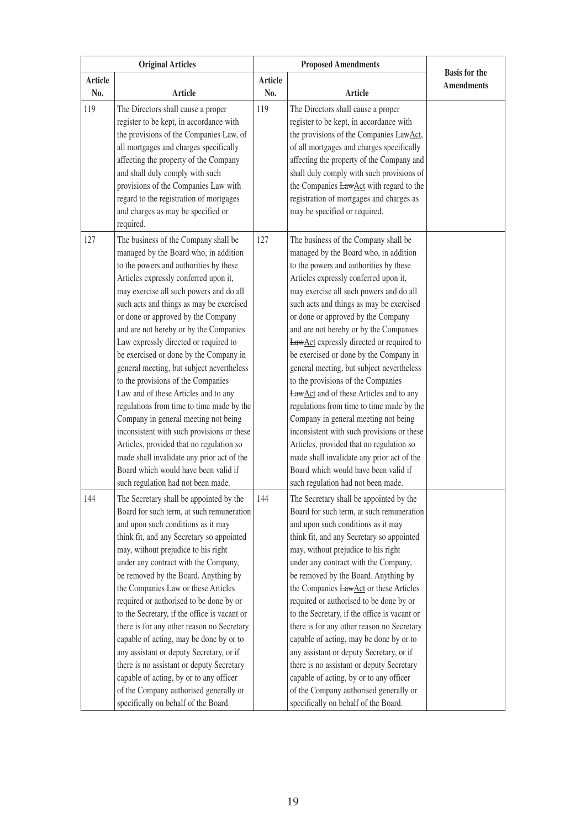|                | <b>Original Articles</b>                                                                                                                                                                                                                                                                                                                                                                                                                                                                                                                                                                                                                                                                                                                                                                                                                                         |                | <b>Proposed Amendments</b>                                                                                                                                                                                                                                                                                                                                                                                                                                                                                                                                                                                                                                                                                                                                                                                                                                                           |                                           |
|----------------|------------------------------------------------------------------------------------------------------------------------------------------------------------------------------------------------------------------------------------------------------------------------------------------------------------------------------------------------------------------------------------------------------------------------------------------------------------------------------------------------------------------------------------------------------------------------------------------------------------------------------------------------------------------------------------------------------------------------------------------------------------------------------------------------------------------------------------------------------------------|----------------|--------------------------------------------------------------------------------------------------------------------------------------------------------------------------------------------------------------------------------------------------------------------------------------------------------------------------------------------------------------------------------------------------------------------------------------------------------------------------------------------------------------------------------------------------------------------------------------------------------------------------------------------------------------------------------------------------------------------------------------------------------------------------------------------------------------------------------------------------------------------------------------|-------------------------------------------|
| <b>Article</b> |                                                                                                                                                                                                                                                                                                                                                                                                                                                                                                                                                                                                                                                                                                                                                                                                                                                                  | <b>Article</b> |                                                                                                                                                                                                                                                                                                                                                                                                                                                                                                                                                                                                                                                                                                                                                                                                                                                                                      | <b>Basis</b> for the<br><b>Amendments</b> |
| No.            | <b>Article</b>                                                                                                                                                                                                                                                                                                                                                                                                                                                                                                                                                                                                                                                                                                                                                                                                                                                   | No.            | Article                                                                                                                                                                                                                                                                                                                                                                                                                                                                                                                                                                                                                                                                                                                                                                                                                                                                              |                                           |
| 119            | The Directors shall cause a proper<br>register to be kept, in accordance with<br>the provisions of the Companies Law, of<br>all mortgages and charges specifically<br>affecting the property of the Company<br>and shall duly comply with such<br>provisions of the Companies Law with<br>regard to the registration of mortgages<br>and charges as may be specified or<br>required.                                                                                                                                                                                                                                                                                                                                                                                                                                                                             | 119            | The Directors shall cause a proper<br>register to be kept, in accordance with<br>the provisions of the Companies LawAct,<br>of all mortgages and charges specifically<br>affecting the property of the Company and<br>shall duly comply with such provisions of<br>the Companies LawAct with regard to the<br>registration of mortgages and charges as<br>may be specified or required.                                                                                                                                                                                                                                                                                                                                                                                                                                                                                              |                                           |
| 127            | The business of the Company shall be<br>managed by the Board who, in addition<br>to the powers and authorities by these<br>Articles expressly conferred upon it,<br>may exercise all such powers and do all<br>such acts and things as may be exercised<br>or done or approved by the Company<br>and are not hereby or by the Companies<br>Law expressly directed or required to<br>be exercised or done by the Company in<br>general meeting, but subject nevertheless<br>to the provisions of the Companies<br>Law and of these Articles and to any<br>regulations from time to time made by the<br>Company in general meeting not being<br>inconsistent with such provisions or these<br>Articles, provided that no regulation so<br>made shall invalidate any prior act of the<br>Board which would have been valid if<br>such regulation had not been made. | 127            | The business of the Company shall be<br>managed by the Board who, in addition<br>to the powers and authorities by these<br>Articles expressly conferred upon it,<br>may exercise all such powers and do all<br>such acts and things as may be exercised<br>or done or approved by the Company<br>and are not hereby or by the Companies<br><b>LawAct</b> expressly directed or required to<br>be exercised or done by the Company in<br>general meeting, but subject nevertheless<br>to the provisions of the Companies<br><b>LawAct</b> and of these Articles and to any<br>regulations from time to time made by the<br>Company in general meeting not being<br>inconsistent with such provisions or these<br>Articles, provided that no regulation so<br>made shall invalidate any prior act of the<br>Board which would have been valid if<br>such regulation had not been made. |                                           |
| 144            | The Secretary shall be appointed by the<br>Board for such term, at such remuneration<br>and upon such conditions as it may<br>think fit, and any Secretary so appointed<br>may, without prejudice to his right<br>under any contract with the Company,<br>be removed by the Board. Anything by<br>the Companies Law or these Articles<br>required or authorised to be done by or<br>to the Secretary, if the office is vacant or<br>there is for any other reason no Secretary<br>capable of acting, may be done by or to<br>any assistant or deputy Secretary, or if<br>there is no assistant or deputy Secretary<br>capable of acting, by or to any officer<br>of the Company authorised generally or<br>specifically on behalf of the Board.                                                                                                                  | 144            | The Secretary shall be appointed by the<br>Board for such term, at such remuneration<br>and upon such conditions as it may<br>think fit, and any Secretary so appointed<br>may, without prejudice to his right<br>under any contract with the Company,<br>be removed by the Board. Anything by<br>the Companies LawAct or these Articles<br>required or authorised to be done by or<br>to the Secretary, if the office is vacant or<br>there is for any other reason no Secretary<br>capable of acting, may be done by or to<br>any assistant or deputy Secretary, or if<br>there is no assistant or deputy Secretary<br>capable of acting, by or to any officer<br>of the Company authorised generally or<br>specifically on behalf of the Board.                                                                                                                                   |                                           |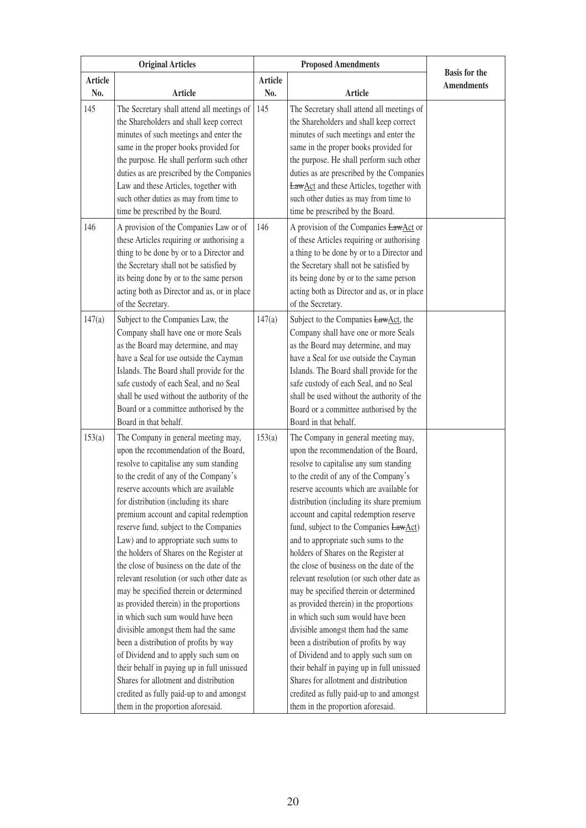|         | <b>Original Articles</b>                                                             | <b>Proposed Amendments</b> |                                                                                  |                                           |
|---------|--------------------------------------------------------------------------------------|----------------------------|----------------------------------------------------------------------------------|-------------------------------------------|
| Article |                                                                                      | <b>Article</b>             |                                                                                  | <b>Basis for the</b><br><b>Amendments</b> |
| No.     | <b>Article</b>                                                                       | No.                        | Article                                                                          |                                           |
| 145     | The Secretary shall attend all meetings of                                           | 145                        | The Secretary shall attend all meetings of                                       |                                           |
|         | the Shareholders and shall keep correct                                              |                            | the Shareholders and shall keep correct                                          |                                           |
|         | minutes of such meetings and enter the                                               |                            | minutes of such meetings and enter the                                           |                                           |
|         | same in the proper books provided for                                                |                            | same in the proper books provided for                                            |                                           |
|         | the purpose. He shall perform such other                                             |                            | the purpose. He shall perform such other                                         |                                           |
|         | duties as are prescribed by the Companies                                            |                            | duties as are prescribed by the Companies                                        |                                           |
|         | Law and these Articles, together with                                                |                            | LawAct and these Articles, together with                                         |                                           |
|         | such other duties as may from time to                                                |                            | such other duties as may from time to                                            |                                           |
|         | time be prescribed by the Board.                                                     |                            | time be prescribed by the Board.                                                 |                                           |
| 146     | A provision of the Companies Law or of                                               | 146                        | A provision of the Companies LawAct or                                           |                                           |
|         | these Articles requiring or authorising a                                            |                            | of these Articles requiring or authorising                                       |                                           |
|         | thing to be done by or to a Director and                                             |                            | a thing to be done by or to a Director and                                       |                                           |
|         | the Secretary shall not be satisfied by                                              |                            | the Secretary shall not be satisfied by                                          |                                           |
|         | its being done by or to the same person                                              |                            | its being done by or to the same person                                          |                                           |
|         | acting both as Director and as, or in place                                          |                            | acting both as Director and as, or in place                                      |                                           |
|         | of the Secretary.                                                                    |                            | of the Secretary.                                                                |                                           |
| 147(a)  | Subject to the Companies Law, the                                                    | 147(a)                     | Subject to the Companies LawAct, the                                             |                                           |
|         | Company shall have one or more Seals                                                 |                            | Company shall have one or more Seals                                             |                                           |
|         | as the Board may determine, and may<br>have a Seal for use outside the Cayman        |                            | as the Board may determine, and may<br>have a Seal for use outside the Cayman    |                                           |
|         | Islands. The Board shall provide for the                                             |                            | Islands. The Board shall provide for the                                         |                                           |
|         | safe custody of each Seal, and no Seal                                               |                            | safe custody of each Seal, and no Seal                                           |                                           |
|         | shall be used without the authority of the                                           |                            | shall be used without the authority of the                                       |                                           |
|         | Board or a committee authorised by the                                               |                            | Board or a committee authorised by the                                           |                                           |
|         | Board in that behalf.                                                                |                            | Board in that behalf.                                                            |                                           |
| 153(a)  | The Company in general meeting may,                                                  | 153(a)                     | The Company in general meeting may,                                              |                                           |
|         | upon the recommendation of the Board,                                                |                            | upon the recommendation of the Board,                                            |                                           |
|         | resolve to capitalise any sum standing                                               |                            | resolve to capitalise any sum standing                                           |                                           |
|         | to the credit of any of the Company's                                                |                            | to the credit of any of the Company's                                            |                                           |
|         | reserve accounts which are available                                                 |                            | reserve accounts which are available for                                         |                                           |
|         | for distribution (including its share                                                |                            | distribution (including its share premium                                        |                                           |
|         | premium account and capital redemption                                               |                            | account and capital redemption reserve                                           |                                           |
|         | reserve fund, subject to the Companies                                               |                            | fund, subject to the Companies LawAct)                                           |                                           |
|         | Law) and to appropriate such sums to                                                 |                            | and to appropriate such sums to the                                              |                                           |
|         | the holders of Shares on the Register at<br>the close of business on the date of the |                            | holders of Shares on the Register at<br>the close of business on the date of the |                                           |
|         | relevant resolution (or such other date as                                           |                            | relevant resolution (or such other date as                                       |                                           |
|         | may be specified therein or determined                                               |                            | may be specified therein or determined                                           |                                           |
|         | as provided therein) in the proportions                                              |                            | as provided therein) in the proportions                                          |                                           |
|         | in which such sum would have been                                                    |                            | in which such sum would have been                                                |                                           |
|         | divisible amongst them had the same                                                  |                            | divisible amongst them had the same                                              |                                           |
|         | been a distribution of profits by way                                                |                            | been a distribution of profits by way                                            |                                           |
|         | of Dividend and to apply such sum on                                                 |                            | of Dividend and to apply such sum on                                             |                                           |
|         | their behalf in paying up in full unissued                                           |                            | their behalf in paying up in full unissued                                       |                                           |
|         | Shares for allotment and distribution                                                |                            | Shares for allotment and distribution                                            |                                           |
|         | credited as fully paid-up to and amongst                                             |                            | credited as fully paid-up to and amongst                                         |                                           |
|         | them in the proportion aforesaid.                                                    |                            | them in the proportion aforesaid.                                                |                                           |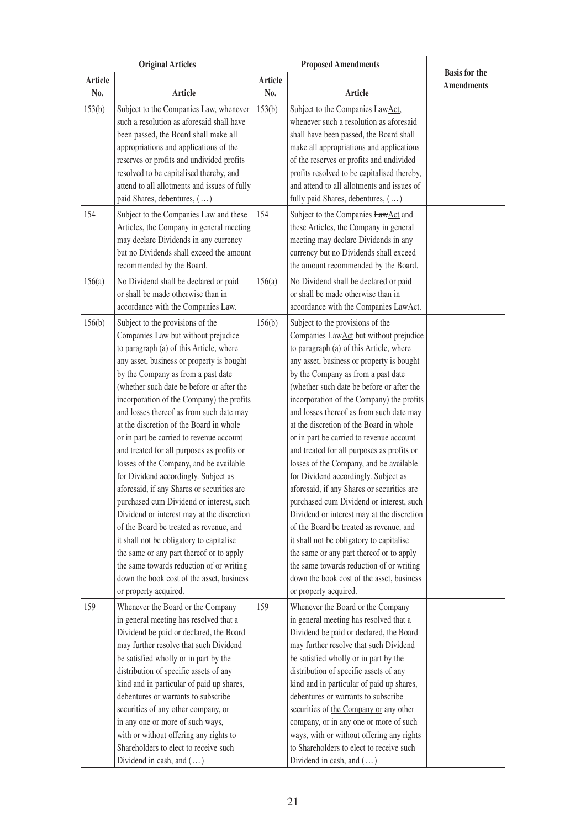|         | <b>Original Articles</b>                                                                                                                                                                                                                                                                                                                                                                                                                                                                                                                                                                                                                                                                                                                                                                                                                                                                                                                                         |                | <b>Proposed Amendments</b>                                                                                                                                                                                                                                                                                                                                                                                                                                                                                                                                                                                                                                                                                                                                                                                                                                                                                                                                                 |                                           |
|---------|------------------------------------------------------------------------------------------------------------------------------------------------------------------------------------------------------------------------------------------------------------------------------------------------------------------------------------------------------------------------------------------------------------------------------------------------------------------------------------------------------------------------------------------------------------------------------------------------------------------------------------------------------------------------------------------------------------------------------------------------------------------------------------------------------------------------------------------------------------------------------------------------------------------------------------------------------------------|----------------|----------------------------------------------------------------------------------------------------------------------------------------------------------------------------------------------------------------------------------------------------------------------------------------------------------------------------------------------------------------------------------------------------------------------------------------------------------------------------------------------------------------------------------------------------------------------------------------------------------------------------------------------------------------------------------------------------------------------------------------------------------------------------------------------------------------------------------------------------------------------------------------------------------------------------------------------------------------------------|-------------------------------------------|
| Article |                                                                                                                                                                                                                                                                                                                                                                                                                                                                                                                                                                                                                                                                                                                                                                                                                                                                                                                                                                  | <b>Article</b> |                                                                                                                                                                                                                                                                                                                                                                                                                                                                                                                                                                                                                                                                                                                                                                                                                                                                                                                                                                            | <b>Basis for the</b><br><b>Amendments</b> |
| No.     | <b>Article</b>                                                                                                                                                                                                                                                                                                                                                                                                                                                                                                                                                                                                                                                                                                                                                                                                                                                                                                                                                   | No.            | <b>Article</b>                                                                                                                                                                                                                                                                                                                                                                                                                                                                                                                                                                                                                                                                                                                                                                                                                                                                                                                                                             |                                           |
| 153(b)  | Subject to the Companies Law, whenever<br>such a resolution as aforesaid shall have<br>been passed, the Board shall make all<br>appropriations and applications of the<br>reserves or profits and undivided profits<br>resolved to be capitalised thereby, and<br>attend to all allotments and issues of fully<br>paid Shares, debentures, ()                                                                                                                                                                                                                                                                                                                                                                                                                                                                                                                                                                                                                    | 153(b)         | Subject to the Companies LawAct,<br>whenever such a resolution as aforesaid<br>shall have been passed, the Board shall<br>make all appropriations and applications<br>of the reserves or profits and undivided<br>profits resolved to be capitalised thereby,<br>and attend to all allotments and issues of<br>fully paid Shares, debentures, ()                                                                                                                                                                                                                                                                                                                                                                                                                                                                                                                                                                                                                           |                                           |
| 154     | Subject to the Companies Law and these<br>Articles, the Company in general meeting<br>may declare Dividends in any currency<br>but no Dividends shall exceed the amount<br>recommended by the Board.                                                                                                                                                                                                                                                                                                                                                                                                                                                                                                                                                                                                                                                                                                                                                             | 154            | Subject to the Companies LawAct and<br>these Articles, the Company in general<br>meeting may declare Dividends in any<br>currency but no Dividends shall exceed<br>the amount recommended by the Board.                                                                                                                                                                                                                                                                                                                                                                                                                                                                                                                                                                                                                                                                                                                                                                    |                                           |
| 156(a)  | No Dividend shall be declared or paid<br>or shall be made otherwise than in<br>accordance with the Companies Law.                                                                                                                                                                                                                                                                                                                                                                                                                                                                                                                                                                                                                                                                                                                                                                                                                                                | 156(a)         | No Dividend shall be declared or paid<br>or shall be made otherwise than in<br>accordance with the Companies LawAct.                                                                                                                                                                                                                                                                                                                                                                                                                                                                                                                                                                                                                                                                                                                                                                                                                                                       |                                           |
| 156(b)  | Subject to the provisions of the<br>Companies Law but without prejudice<br>to paragraph (a) of this Article, where<br>any asset, business or property is bought<br>by the Company as from a past date<br>(whether such date be before or after the<br>incorporation of the Company) the profits<br>and losses thereof as from such date may<br>at the discretion of the Board in whole<br>or in part be carried to revenue account<br>and treated for all purposes as profits or<br>losses of the Company, and be available<br>for Dividend accordingly. Subject as<br>aforesaid, if any Shares or securities are<br>purchased cum Dividend or interest, such<br>Dividend or interest may at the discretion<br>of the Board be treated as revenue, and<br>it shall not be obligatory to capitalise<br>the same or any part thereof or to apply<br>the same towards reduction of or writing<br>down the book cost of the asset, business<br>or property acquired. | 156(b)         | Subject to the provisions of the<br>Companies <b>LawAct</b> but without prejudice<br>to paragraph (a) of this Article, where<br>any asset, business or property is bought<br>by the Company as from a past date<br>(whether such date be before or after the<br>incorporation of the Company) the profits<br>and losses thereof as from such date may<br>at the discretion of the Board in whole<br>or in part be carried to revenue account<br>and treated for all purposes as profits or<br>losses of the Company, and be available<br>for Dividend accordingly. Subject as<br>aforesaid, if any Shares or securities are<br>purchased cum Dividend or interest, such<br>Dividend or interest may at the discretion<br>of the Board be treated as revenue, and<br>it shall not be obligatory to capitalise<br>the same or any part thereof or to apply<br>the same towards reduction of or writing<br>down the book cost of the asset, business<br>or property acquired. |                                           |
| 159     | Whenever the Board or the Company<br>in general meeting has resolved that a<br>Dividend be paid or declared, the Board<br>may further resolve that such Dividend<br>be satisfied wholly or in part by the<br>distribution of specific assets of any<br>kind and in particular of paid up shares,<br>debentures or warrants to subscribe<br>securities of any other company, or<br>in any one or more of such ways,<br>with or without offering any rights to<br>Shareholders to elect to receive such<br>Dividend in cash, and ()                                                                                                                                                                                                                                                                                                                                                                                                                                | 159            | Whenever the Board or the Company<br>in general meeting has resolved that a<br>Dividend be paid or declared, the Board<br>may further resolve that such Dividend<br>be satisfied wholly or in part by the<br>distribution of specific assets of any<br>kind and in particular of paid up shares,<br>debentures or warrants to subscribe<br>securities of the Company or any other<br>company, or in any one or more of such<br>ways, with or without offering any rights<br>to Shareholders to elect to receive such<br>Dividend in cash, and ()                                                                                                                                                                                                                                                                                                                                                                                                                           |                                           |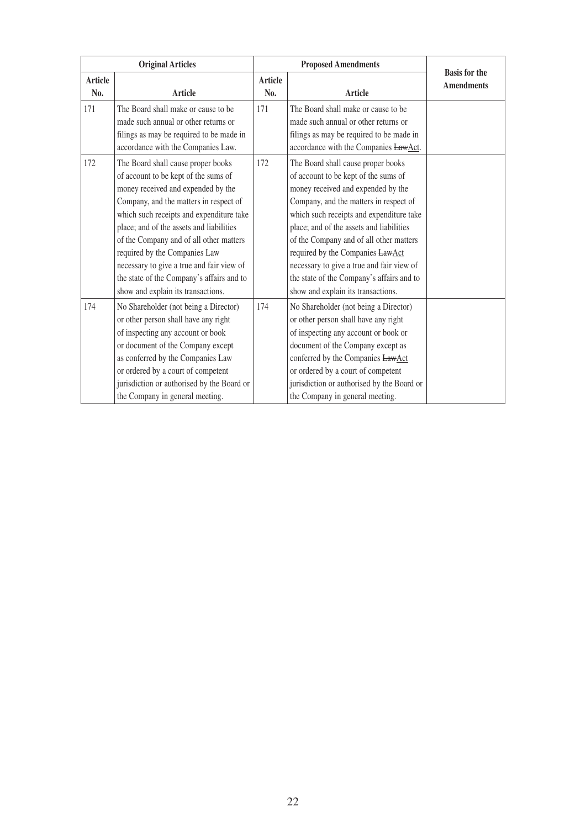| <b>Original Articles</b> |                                                                                                                                                                                                                                                                                                                                                                                                                                                                |                | <b>Proposed Amendments</b>                                                                                                                                                                                                                                                                                                                                                                                                                                        |                                           |
|--------------------------|----------------------------------------------------------------------------------------------------------------------------------------------------------------------------------------------------------------------------------------------------------------------------------------------------------------------------------------------------------------------------------------------------------------------------------------------------------------|----------------|-------------------------------------------------------------------------------------------------------------------------------------------------------------------------------------------------------------------------------------------------------------------------------------------------------------------------------------------------------------------------------------------------------------------------------------------------------------------|-------------------------------------------|
| <b>Article</b><br>No.    | <b>Article</b>                                                                                                                                                                                                                                                                                                                                                                                                                                                 | Article<br>No. | <b>Article</b>                                                                                                                                                                                                                                                                                                                                                                                                                                                    | <b>Basis for the</b><br><b>Amendments</b> |
| 171                      | The Board shall make or cause to be<br>made such annual or other returns or<br>filings as may be required to be made in<br>accordance with the Companies Law.                                                                                                                                                                                                                                                                                                  | 171            | The Board shall make or cause to be<br>made such annual or other returns or<br>filings as may be required to be made in<br>accordance with the Companies LawAct.                                                                                                                                                                                                                                                                                                  |                                           |
| 172                      | The Board shall cause proper books<br>of account to be kept of the sums of<br>money received and expended by the<br>Company, and the matters in respect of<br>which such receipts and expenditure take<br>place; and of the assets and liabilities<br>of the Company and of all other matters<br>required by the Companies Law<br>necessary to give a true and fair view of<br>the state of the Company's affairs and to<br>show and explain its transactions. | 172            | The Board shall cause proper books<br>of account to be kept of the sums of<br>money received and expended by the<br>Company, and the matters in respect of<br>which such receipts and expenditure take<br>place; and of the assets and liabilities<br>of the Company and of all other matters<br>required by the Companies LawAct<br>necessary to give a true and fair view of<br>the state of the Company's affairs and to<br>show and explain its transactions. |                                           |
| 174                      | No Shareholder (not being a Director)<br>or other person shall have any right<br>of inspecting any account or book<br>or document of the Company except<br>as conferred by the Companies Law<br>or ordered by a court of competent<br>jurisdiction or authorised by the Board or<br>the Company in general meeting.                                                                                                                                            | 174            | No Shareholder (not being a Director)<br>or other person shall have any right<br>of inspecting any account or book or<br>document of the Company except as<br>conferred by the Companies LawAct<br>or ordered by a court of competent<br>jurisdiction or authorised by the Board or<br>the Company in general meeting.                                                                                                                                            |                                           |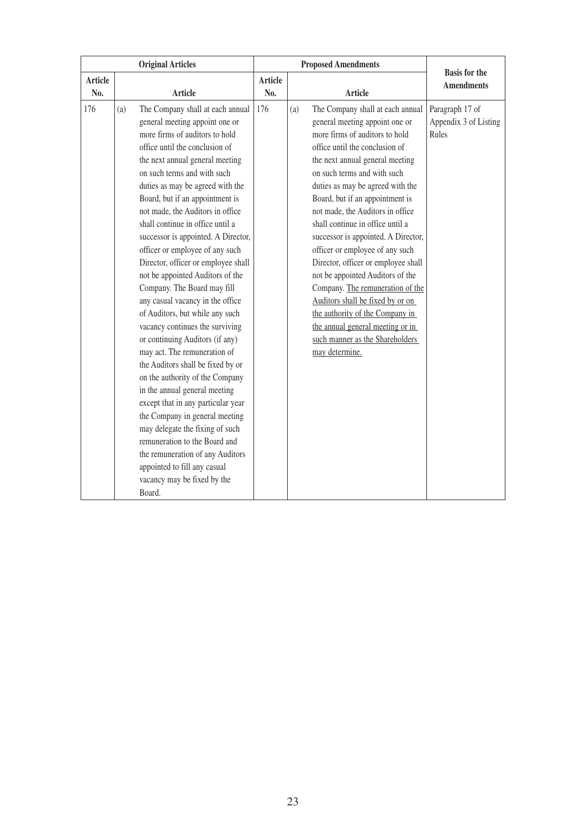| <b>Original Articles</b> |     | <b>Proposed Amendments</b>                                                                                                                                                                                                                                                                                                                                                                                                                                                                                                                                                                                                                                                                                                                                                                                                                                                                                                                                                                                                                                                                 |                |     | <b>Basis for the</b>                                                                                                                                                                                                                                                                                                                                                                                                                                                                                                                                                                                                                                                                                             |                                                   |
|--------------------------|-----|--------------------------------------------------------------------------------------------------------------------------------------------------------------------------------------------------------------------------------------------------------------------------------------------------------------------------------------------------------------------------------------------------------------------------------------------------------------------------------------------------------------------------------------------------------------------------------------------------------------------------------------------------------------------------------------------------------------------------------------------------------------------------------------------------------------------------------------------------------------------------------------------------------------------------------------------------------------------------------------------------------------------------------------------------------------------------------------------|----------------|-----|------------------------------------------------------------------------------------------------------------------------------------------------------------------------------------------------------------------------------------------------------------------------------------------------------------------------------------------------------------------------------------------------------------------------------------------------------------------------------------------------------------------------------------------------------------------------------------------------------------------------------------------------------------------------------------------------------------------|---------------------------------------------------|
| <b>Article</b>           |     |                                                                                                                                                                                                                                                                                                                                                                                                                                                                                                                                                                                                                                                                                                                                                                                                                                                                                                                                                                                                                                                                                            | <b>Article</b> |     |                                                                                                                                                                                                                                                                                                                                                                                                                                                                                                                                                                                                                                                                                                                  | <b>Amendments</b>                                 |
| No.                      |     | <b>Article</b>                                                                                                                                                                                                                                                                                                                                                                                                                                                                                                                                                                                                                                                                                                                                                                                                                                                                                                                                                                                                                                                                             | No.            |     | <b>Article</b>                                                                                                                                                                                                                                                                                                                                                                                                                                                                                                                                                                                                                                                                                                   |                                                   |
| 176                      | (a) | The Company shall at each annual<br>general meeting appoint one or<br>more firms of auditors to hold<br>office until the conclusion of<br>the next annual general meeting<br>on such terms and with such<br>duties as may be agreed with the<br>Board, but if an appointment is<br>not made, the Auditors in office<br>shall continue in office until a<br>successor is appointed. A Director,<br>officer or employee of any such<br>Director, officer or employee shall<br>not be appointed Auditors of the<br>Company. The Board may fill<br>any casual vacancy in the office<br>of Auditors, but while any such<br>vacancy continues the surviving<br>or continuing Auditors (if any)<br>may act. The remuneration of<br>the Auditors shall be fixed by or<br>on the authority of the Company<br>in the annual general meeting<br>except that in any particular year<br>the Company in general meeting<br>may delegate the fixing of such<br>remuneration to the Board and<br>the remuneration of any Auditors<br>appointed to fill any casual<br>vacancy may be fixed by the<br>Board. | 176            | (a) | The Company shall at each annual<br>general meeting appoint one or<br>more firms of auditors to hold<br>office until the conclusion of<br>the next annual general meeting<br>on such terms and with such<br>duties as may be agreed with the<br>Board, but if an appointment is<br>not made, the Auditors in office<br>shall continue in office until a<br>successor is appointed. A Director,<br>officer or employee of any such<br>Director, officer or employee shall<br>not be appointed Auditors of the<br>Company. The remuneration of the<br>Auditors shall be fixed by or on<br>the authority of the Company in<br>the annual general meeting or in<br>such manner as the Shareholders<br>may determine. | Paragraph 17 of<br>Appendix 3 of Listing<br>Rules |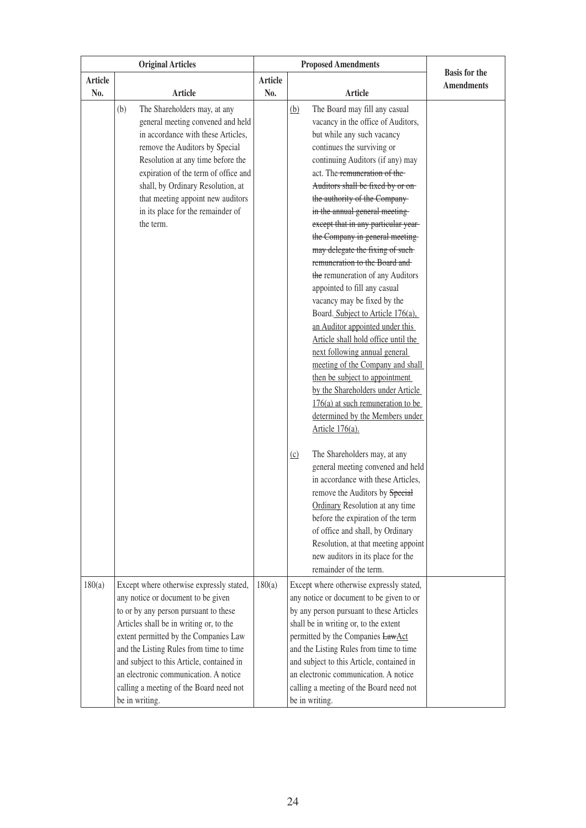|                | <b>Original Articles</b>                                                                                                                                                                                                                                                                                                                                      |                       | <b>Proposed Amendments</b>                                                                                                                                                                                                                                                                                                                                                                                                                                                                                                                                                                                                                                                                                                                                                                                                                                                                                                   |                                           |
|----------------|---------------------------------------------------------------------------------------------------------------------------------------------------------------------------------------------------------------------------------------------------------------------------------------------------------------------------------------------------------------|-----------------------|------------------------------------------------------------------------------------------------------------------------------------------------------------------------------------------------------------------------------------------------------------------------------------------------------------------------------------------------------------------------------------------------------------------------------------------------------------------------------------------------------------------------------------------------------------------------------------------------------------------------------------------------------------------------------------------------------------------------------------------------------------------------------------------------------------------------------------------------------------------------------------------------------------------------------|-------------------------------------------|
| Article<br>No. | <b>Article</b>                                                                                                                                                                                                                                                                                                                                                | <b>Article</b><br>No. | Article                                                                                                                                                                                                                                                                                                                                                                                                                                                                                                                                                                                                                                                                                                                                                                                                                                                                                                                      | <b>Basis</b> for the<br><b>Amendments</b> |
|                | (b)<br>The Shareholders may, at any<br>general meeting convened and held<br>in accordance with these Articles,<br>remove the Auditors by Special<br>Resolution at any time before the<br>expiration of the term of office and<br>shall, by Ordinary Resolution, at<br>that meeting appoint new auditors<br>in its place for the remainder of<br>the term.     |                       | The Board may fill any casual<br>(b)<br>vacancy in the office of Auditors,<br>but while any such vacancy<br>continues the surviving or<br>continuing Auditors (if any) may<br>act. The remuneration of the<br>Auditors shall be fixed by or on-<br>the authority of the Company-<br>in the annual general meeting-<br>except that in any particular year-<br>the Company in general meeting-<br>may delegate the fixing of such-<br>remuneration to the Board and<br>the remuneration of any Auditors<br>appointed to fill any casual<br>vacancy may be fixed by the<br>Board. Subject to Article 176(a),<br>an Auditor appointed under this<br>Article shall hold office until the<br>next following annual general<br>meeting of the Company and shall<br>then be subject to appointment<br>by the Shareholders under Article<br>$176(a)$ at such remuneration to be<br>determined by the Members under<br>Article 176(a). |                                           |
| 180(a)         | Except where otherwise expressly stated,                                                                                                                                                                                                                                                                                                                      | 180(a)                | The Shareholders may, at any<br>(c)<br>general meeting convened and held<br>in accordance with these Articles,<br>remove the Auditors by Special<br>Ordinary Resolution at any time<br>before the expiration of the term<br>of office and shall, by Ordinary<br>Resolution, at that meeting appoint<br>new auditors in its place for the<br>remainder of the term.<br>Except where otherwise expressly stated,                                                                                                                                                                                                                                                                                                                                                                                                                                                                                                               |                                           |
|                | any notice or document to be given<br>to or by any person pursuant to these<br>Articles shall be in writing or, to the<br>extent permitted by the Companies Law<br>and the Listing Rules from time to time<br>and subject to this Article, contained in<br>an electronic communication. A notice<br>calling a meeting of the Board need not<br>be in writing. |                       | any notice or document to be given to or<br>by any person pursuant to these Articles<br>shall be in writing or, to the extent<br>permitted by the Companies LawAct<br>and the Listing Rules from time to time<br>and subject to this Article, contained in<br>an electronic communication. A notice<br>calling a meeting of the Board need not<br>be in writing.                                                                                                                                                                                                                                                                                                                                                                                                                                                                                                                                                             |                                           |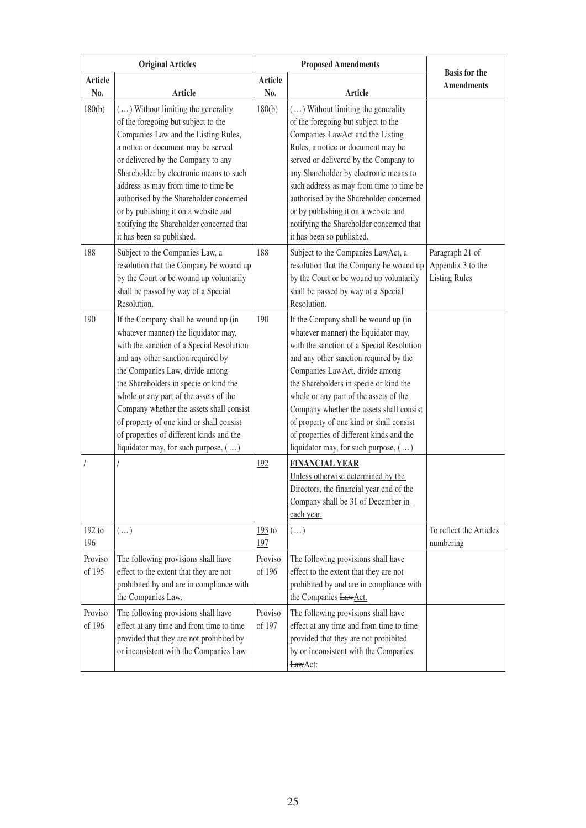| <b>Original Articles</b> |                                                                                                                                                                                                                                                                                                                                                                                                                                                                    | <b>Proposed Amendments</b> |                                                                                                                                                                                                                                                                                                                                                                                                                                                                              |                                                              |
|--------------------------|--------------------------------------------------------------------------------------------------------------------------------------------------------------------------------------------------------------------------------------------------------------------------------------------------------------------------------------------------------------------------------------------------------------------------------------------------------------------|----------------------------|------------------------------------------------------------------------------------------------------------------------------------------------------------------------------------------------------------------------------------------------------------------------------------------------------------------------------------------------------------------------------------------------------------------------------------------------------------------------------|--------------------------------------------------------------|
| <b>Article</b><br>No.    | <b>Article</b>                                                                                                                                                                                                                                                                                                                                                                                                                                                     | <b>Article</b><br>No.      | Article                                                                                                                                                                                                                                                                                                                                                                                                                                                                      | <b>Basis for the</b><br><b>Amendments</b>                    |
| 180(b)                   | () Without limiting the generality<br>of the foregoing but subject to the<br>Companies Law and the Listing Rules,<br>a notice or document may be served<br>or delivered by the Company to any<br>Shareholder by electronic means to such<br>address as may from time to time be<br>authorised by the Shareholder concerned<br>or by publishing it on a website and<br>notifying the Shareholder concerned that<br>it has been so published.                        | 180(b)                     | $(\dots)$ Without limiting the generality<br>of the foregoing but subject to the<br>Companies <b>LawAct</b> and the Listing<br>Rules, a notice or document may be<br>served or delivered by the Company to<br>any Shareholder by electronic means to<br>such address as may from time to time be<br>authorised by the Shareholder concerned<br>or by publishing it on a website and<br>notifying the Shareholder concerned that<br>it has been so published.                 |                                                              |
| 188                      | Subject to the Companies Law, a<br>resolution that the Company be wound up<br>by the Court or be wound up voluntarily<br>shall be passed by way of a Special<br>Resolution.                                                                                                                                                                                                                                                                                        | 188                        | Subject to the Companies LawAct, a<br>resolution that the Company be wound up<br>by the Court or be wound up voluntarily<br>shall be passed by way of a Special<br>Resolution.                                                                                                                                                                                                                                                                                               | Paragraph 21 of<br>Appendix 3 to the<br><b>Listing Rules</b> |
| 190                      | If the Company shall be wound up (in<br>whatever manner) the liquidator may,<br>with the sanction of a Special Resolution<br>and any other sanction required by<br>the Companies Law, divide among<br>the Shareholders in specie or kind the<br>whole or any part of the assets of the<br>Company whether the assets shall consist<br>of property of one kind or shall consist<br>of properties of different kinds and the<br>liquidator may, for such purpose, () | 190                        | If the Company shall be wound up (in<br>whatever manner) the liquidator may,<br>with the sanction of a Special Resolution<br>and any other sanction required by the<br>Companies LawAct, divide among<br>the Shareholders in specie or kind the<br>whole or any part of the assets of the<br>Company whether the assets shall consist<br>of property of one kind or shall consist<br>of properties of different kinds and the<br>liquidator may, for such purpose, $(\dots)$ |                                                              |
|                          |                                                                                                                                                                                                                                                                                                                                                                                                                                                                    | 192                        | <b>FINANCIAL YEAR</b><br>Unless otherwise determined by the<br>Directors, the financial year end of the<br>Company shall be 31 of December in<br>each year.                                                                                                                                                                                                                                                                                                                  |                                                              |
| $192$ to<br>196          | $(\ldots)$                                                                                                                                                                                                                                                                                                                                                                                                                                                         | $193$ to<br>197            | $(\dots)$                                                                                                                                                                                                                                                                                                                                                                                                                                                                    | To reflect the Articles<br>numbering                         |
| Proviso<br>of 195        | The following provisions shall have<br>effect to the extent that they are not<br>prohibited by and are in compliance with<br>the Companies Law.                                                                                                                                                                                                                                                                                                                    | Proviso<br>of 196          | The following provisions shall have<br>effect to the extent that they are not<br>prohibited by and are in compliance with<br>the Companies LawAct.                                                                                                                                                                                                                                                                                                                           |                                                              |
| Proviso<br>of 196        | The following provisions shall have<br>effect at any time and from time to time<br>provided that they are not prohibited by<br>or inconsistent with the Companies Law:                                                                                                                                                                                                                                                                                             | Proviso<br>of 197          | The following provisions shall have<br>effect at any time and from time to time<br>provided that they are not prohibited<br>by or inconsistent with the Companies<br>LawAct:                                                                                                                                                                                                                                                                                                 |                                                              |